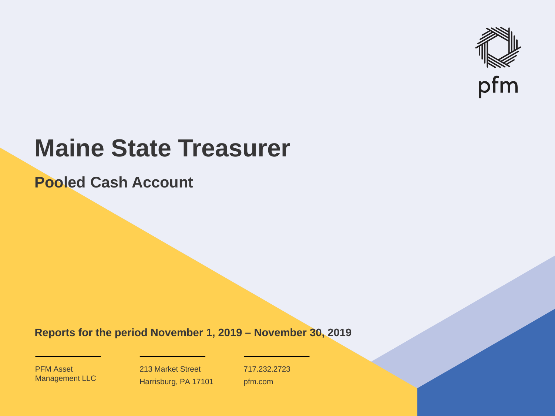

# **Maine State Treasurer**

**Pooled Cash Account**

**Reports for the period November 1, 2019 – November 30, 2019**

PFM Asset Management LLC

213 Market Street Harrisburg, PA 17101 717.232.2723 pfm.com

 $\mathcal{P}_\text{max}$  and  $\mathcal{P}_\text{max}$  is the probability of  $\mathcal{P}_\text{max}$  and  $\mathcal{P}_\text{max}$  and  $\mathcal{P}_\text{max}$  and  $\mathcal{P}_\text{max}$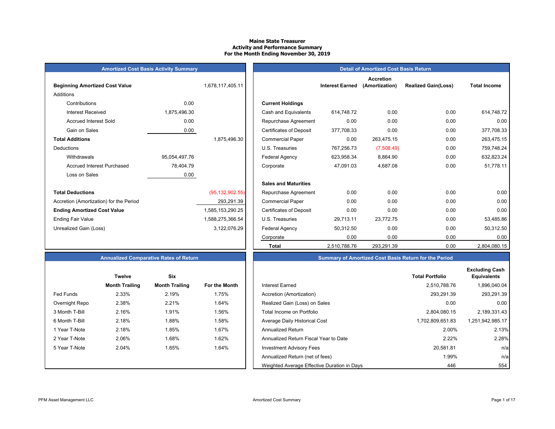#### **Maine State Treasurer Activity and Performance Summary For the Month Ending November 30, 2019**

| Amortized Cost Basis Activity Summary |  |
|---------------------------------------|--|
|---------------------------------------|--|

| <b>Beginning Amortized Cost Value</b>   |               | 1,678,117,405.11  | <b>Interest Earned</b>                       |
|-----------------------------------------|---------------|-------------------|----------------------------------------------|
| <b>Additions</b>                        |               |                   |                                              |
| Contributions                           | 0.00          |                   | <b>Current Holdings</b>                      |
| <b>Interest Received</b>                | 1,875,496.30  |                   | Cash and Equivalents<br>614,748.72           |
| <b>Accrued Interest Sold</b>            | 0.00          |                   | 0.00<br>Repurchase Agreement                 |
| Gain on Sales                           | 0.00          |                   | <b>Certificates of Deposit</b><br>377,708.33 |
| <b>Total Additions</b>                  |               | 1,875,496.30      | 0.00<br><b>Commercial Paper</b>              |
| Deductions                              |               |                   | 767,256.73<br>U.S. Treasuries                |
| Withdrawals                             | 95,054,497.76 |                   | <b>Federal Agency</b><br>623,958.34          |
| <b>Accrued Interest Purchased</b>       | 78,404.79     |                   | 47,091.03<br>Corporate                       |
| Loss on Sales                           | 0.00          |                   |                                              |
|                                         |               |                   | <b>Sales and Maturities</b>                  |
| <b>Total Deductions</b>                 |               | (95, 132, 902.55) | 0.00<br>Repurchase Agreement                 |
| Accretion (Amortization) for the Period |               | 293,291.39        | 0.00<br><b>Commercial Paper</b>              |
| <b>Ending Amortized Cost Value</b>      |               | 1,585,153,290.25  | 0.00<br><b>Certificates of Deposit</b>       |
| <b>Ending Fair Value</b>                |               | 1,588,275,366.54  | U.S. Treasuries<br>29,713.11                 |
| Unrealized Gain (Loss)                  |               | 3,122,076.29      | 50,312.50<br><b>Federal Agency</b>           |
|                                         |               |                   | $\sim$ $\sim$ $\sim$                         |

| <b>Amortized Cost Basis Activity Summary</b> |               |                   | <b>Detail of Amortized Cost Basis Return</b> |                        |                                    |                            |                     |
|----------------------------------------------|---------------|-------------------|----------------------------------------------|------------------------|------------------------------------|----------------------------|---------------------|
| <b>Beginning Amortized Cost Value</b>        |               | 1,678,117,405.11  |                                              | <b>Interest Earned</b> | <b>Accretion</b><br>(Amortization) | <b>Realized Gain(Loss)</b> | <b>Total Income</b> |
| Additions                                    |               |                   |                                              |                        |                                    |                            |                     |
| Contributions                                | 0.00          |                   | <b>Current Holdings</b>                      |                        |                                    |                            |                     |
| <b>Interest Received</b>                     | 1,875,496.30  |                   | Cash and Equivalents                         | 614,748.72             | 0.00                               | 0.00                       | 614,748.72          |
| <b>Accrued Interest Sold</b>                 | 0.00          |                   | Repurchase Agreement                         | 0.00                   | 0.00                               | 0.00                       | 0.00                |
| Gain on Sales                                | 0.00          |                   | <b>Certificates of Deposit</b>               | 377,708.33             | 0.00                               | 0.00                       | 377,708.33          |
| <b>Total Additions</b>                       |               | 1,875,496.30      | <b>Commercial Paper</b>                      | 0.00                   | 263.475.15                         | 0.00                       | 263,475.15          |
| Deductions                                   |               |                   | U.S. Treasuries                              | 767,256.73             | (7,508.49)                         | 0.00                       | 759,748.24          |
| Withdrawals                                  | 95,054,497.76 |                   | <b>Federal Agency</b>                        | 623,958.34             | 8,864.90                           | 0.00                       | 632,823.24          |
| <b>Accrued Interest Purchased</b>            | 78,404.79     |                   | Corporate                                    | 47,091.03              | 4,687.08                           | 0.00                       | 51,778.11           |
| Loss on Sales                                | 0.00          |                   |                                              |                        |                                    |                            |                     |
|                                              |               |                   | <b>Sales and Maturities</b>                  |                        |                                    |                            |                     |
| <b>Total Deductions</b>                      |               | (95, 132, 902.55) | Repurchase Agreement                         | 0.00                   | 0.00                               | 0.00                       | 0.00                |
| Accretion (Amortization) for the Period      |               | 293,291.39        | <b>Commercial Paper</b>                      | 0.00                   | 0.00                               | 0.00                       | 0.00                |
| <b>Ending Amortized Cost Value</b>           |               | 1,585,153,290.25  | <b>Certificates of Deposit</b>               | 0.00                   | 0.00                               | 0.00                       | 0.00                |
| Ending Fair Value                            |               | 1,588,275,366.54  | U.S. Treasuries                              | 29,713.11              | 23,772.75                          | 0.00                       | 53,485.86           |
| Unrealized Gain (Loss)                       |               | 3,122,076.29      | <b>Federal Agency</b>                        | 50,312.50              | 0.00                               | 0.00                       | 50,312.50           |
|                                              |               |                   | Corporate                                    | 0.00                   | 0.00                               | 0.00                       | 0.00                |
|                                              |               |                   | <b>Total</b>                                 | 2,510,788.76           | 293,291.39                         | 0.00                       | 2,804,080.15        |

# **Summary of Amortized Cost Basis Return for the Period**

|                  | <b>Twelve</b>         | <b>Six</b>            |               |                                             | <b>Total Portfolio</b> |
|------------------|-----------------------|-----------------------|---------------|---------------------------------------------|------------------------|
|                  | <b>Month Trailing</b> | <b>Month Trailing</b> | For the Month | Interest Earned                             | 2,510,788.76           |
| <b>Fed Funds</b> | 2.33%                 | 2.19%                 | 1.75%         | Accretion (Amortization)                    | 293,291.39             |
| Overnight Repo   | 2.38%                 | 2.21%                 | 1.64%         | Realized Gain (Loss) on Sales               | 0.00                   |
| 3 Month T-Bill   | 2.16%                 | 1.91%                 | 1.56%         | Total Income on Portfolio                   | 2,804,080.15           |
| 6 Month T-Bill   | 2.18%                 | 1.88%                 | 1.58%         | Average Daily Historical Cost               | 1,702,809,651.83       |
| 1 Year T-Note    | 2.18%                 | 1.85%                 | 1.67%         | <b>Annualized Return</b>                    | 2.00%                  |
| 2 Year T-Note    | 2.06%                 | 1.68%                 | 1.62%         | Annualized Return Fiscal Year to Date       | 2.22%                  |
| 5 Year T-Note    | 2.04%                 | 1.65%                 | 1.64%         | <b>Investment Advisory Fees</b>             | 20.581.81              |
|                  |                       |                       |               | Annualized Return (net of fees)             | 1.99%                  |
|                  |                       |                       |               | Weighted Average Effective Duration in Days | 446                    |

| <b>Annualized Comparative Rates of Returi</b> |  |  |
|-----------------------------------------------|--|--|
|                                               |  |  |

|                | <b>Twelve</b>         | Six                   |                      |
|----------------|-----------------------|-----------------------|----------------------|
|                | <b>Month Trailing</b> | <b>Month Trailing</b> | <b>For the Month</b> |
| Fed Funds      | 2.33%                 | 2.19%                 | 1.75%                |
| Overnight Repo | 2.38%                 | 2.21%                 | 1.64%                |
| 3 Month T-Bill | 2.16%                 | 1.91%                 | 1.56%                |
| 6 Month T-Bill | 2.18%                 | 1.88%                 | 1.58%                |
| 1 Year T-Note  | 2.18%                 | 1.85%                 | 1.67%                |
| 2 Year T-Note  | 2.06%                 | 1.68%                 | 1.62%                |
| 5 Year T-Note  | 2.04%                 | 1.65%                 | 1.64%                |
|                |                       |                       |                      |
|                |                       |                       |                      |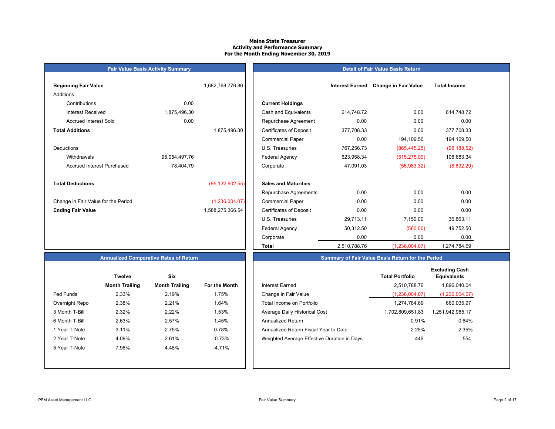## **Maine State TreasurerActivity and Performance Summary For the Month Ending November 30, 2019**

| <b>Fair Value Basis Activity Summary</b> |               |                   |                                |
|------------------------------------------|---------------|-------------------|--------------------------------|
| <b>Beginning Fair Value</b>              |               | 1,682,768,776.86  |                                |
| Additions                                |               |                   |                                |
| Contributions                            | 0.00          |                   | <b>Current Holdings</b>        |
| <b>Interest Received</b>                 | 1,875,496.30  |                   | Cash and Equivalents           |
| <b>Accrued Interest Sold</b>             | 0.00          |                   | Repurchase Agreeme             |
| <b>Total Additions</b>                   |               | 1,875,496.30      | <b>Certificates of Deposit</b> |
|                                          |               |                   | <b>Commercial Paper</b>        |
| <b>Deductions</b>                        |               |                   | U.S. Treasuries                |
| Withdrawals                              | 95,054,497.76 |                   | Federal Agency                 |
| <b>Accrued Interest Purchased</b>        | 78,404.79     |                   | Corporate                      |
| <b>Total Deductions</b>                  |               | (95, 132, 902.55) | <b>Sales and Maturities</b>    |
|                                          |               |                   | Repurchase Agreeme             |
| Change in Fair Value for the Period      |               | (1,236,004.07)    | <b>Commercial Paper</b>        |
| <b>Ending Fair Value</b>                 |               | 1,588,275,366.54  | <b>Certificates of Deposit</b> |

# **Detail of Fair Value Basis Return**

| Beginning Fair Value                |               | 1,682,768,776.86  |                                | <b>Interest Earned</b> | <b>Change in Fair Value</b> | <b>Total Income</b> |
|-------------------------------------|---------------|-------------------|--------------------------------|------------------------|-----------------------------|---------------------|
| Additions                           |               |                   |                                |                        |                             |                     |
| Contributions                       | 0.00          |                   | <b>Current Holdings</b>        |                        |                             |                     |
| <b>Interest Received</b>            | 1,875,496.30  |                   | Cash and Equivalents           | 614,748.72             | 0.00                        | 614,748.72          |
| <b>Accrued Interest Sold</b>        | 0.00          |                   | Repurchase Agreement           | 0.00                   | 0.00                        | 0.00                |
| <b>Total Additions</b>              |               | 1,875,496.30      | <b>Certificates of Deposit</b> | 377,708.33             | 0.00                        | 377,708.33          |
|                                     |               |                   | <b>Commercial Paper</b>        | 0.00                   | 194,109.50                  | 194,109.50          |
| Deductions                          |               |                   | U.S. Treasuries                | 767,256.73             | (865, 445.25)               | (98, 188.52)        |
| Withdrawals                         | 95,054,497.76 |                   | Federal Agency                 | 623,958.34             | (515, 275.00)               | 108,683.34          |
| Accrued Interest Purchased          | 78,404.79     |                   | Corporate                      | 47,091.03              | (55,983.32)                 | (8,892.29)          |
| <b>Total Deductions</b>             |               | (95, 132, 902.55) | <b>Sales and Maturities</b>    |                        |                             |                     |
|                                     |               |                   | Repurchase Agreements          | 0.00                   | 0.00                        | 0.00                |
| Change in Fair Value for the Period |               | (1,236,004.07)    | <b>Commercial Paper</b>        | 0.00                   | 0.00                        | 0.00                |
| <b>Ending Fair Value</b>            |               | 1,588,275,366.54  | <b>Certificates of Deposit</b> | 0.00                   | 0.00                        | 0.00                |
|                                     |               |                   | U.S. Treasuries                | 29,713.11              | 7,150.00                    | 36,863.11           |
|                                     |               |                   | <b>Federal Agency</b>          | 50,312.50              | (560.00)                    | 49,752.50           |
|                                     |               |                   | Corporate                      | 0.00                   | 0.00                        | 0.00                |
|                                     |               |                   | <b>Total</b>                   | 2,510,788.76           | (1,236,004.07)              | 1,274,784.69        |

# **Annualized Comparative Rates of Return**

|                  | <b>Twelve</b>         | Six                   |                      |
|------------------|-----------------------|-----------------------|----------------------|
|                  | <b>Month Trailing</b> | <b>Month Trailing</b> | <b>For the Month</b> |
| <b>Fed Funds</b> | 2.33%                 | 2.19%                 | 1.75%                |
| Overnight Repo   | 2.38%                 | 2.21%                 | 1.64%                |
| 3 Month T-Bill   | 2.32%                 | 2.22%                 | 1.53%                |
| 6 Month T-Bill   | 2.63%                 | 2.57%                 | 1.45%                |
| 1 Year T-Note    | 3.11%                 | 2.75%                 | 0.78%                |
| 2 Year T-Note    | 4.09%                 | 2.61%                 | $-0.73%$             |
| 5 Year T-Note    | 7.96%                 | 4.48%                 | $-4.71%$             |
|                  |                       |                       |                      |
|                  |                       |                       |                      |

|                  | <b>Twelve</b>         | <b>Six</b>            |               |                                             | <b>Total Portfolio</b> | <b>Excluding Cash</b><br><b>Equivalents</b> |
|------------------|-----------------------|-----------------------|---------------|---------------------------------------------|------------------------|---------------------------------------------|
|                  | <b>Month Trailing</b> | <b>Month Trailing</b> | For the Month | <b>Interest Earned</b>                      | 2.510.788.76           | 1,896,040.04                                |
| <b>Fed Funds</b> | 2.33%                 | 2.19%                 | 1.75%         | Change in Fair Value                        | (1,236,004.07)         | (1,236,004.07)                              |
| Overnight Repo   | 2.38%                 | 2.21%                 | 1.64%         | Total Income on Portfolio                   | 1.274.784.69           | 660,035.97                                  |
| 3 Month T-Bill   | 2.32%                 | 2.22%                 | 1.53%         | Average Daily Historical Cost               | 1,702,809,651.83       | 1.251.942.985.17                            |
| 6 Month T-Bill   | 2.63%                 | 2.57%                 | 1.45%         | <b>Annualized Return</b>                    | 0.91%                  | 0.64%                                       |
| 1 Year T-Note    | 3.11%                 | 2.75%                 | 0.78%         | Annualized Return Fiscal Year to Date       | 2.25%                  | 2.35%                                       |
| 2 Year T-Note    | 4.09%                 | 2.61%                 | -0.73%        | Weighted Average Effective Duration in Days | 446                    | 554                                         |
| 5 Year T-Note    | 7.96%                 | 4.48%                 | $-4.71%$      |                                             |                        |                                             |

**Summary of Fair Value Basis Return for the Period**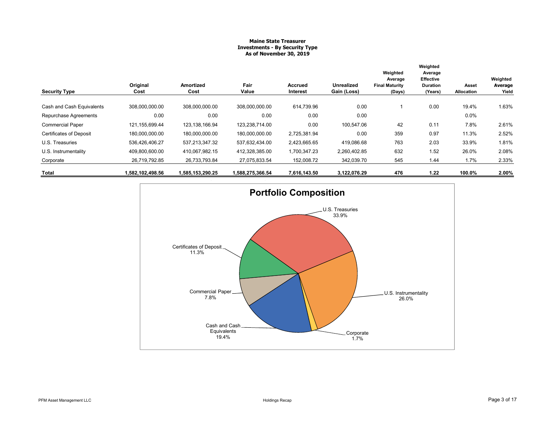# **Maine State Treasurer Investments - By Security Type As of November 30, 2019**

|                                |                  |                   |                  |                            |                                  | Weighted                                   | Weighted<br>Average<br>Effective |                     | Weighted         |
|--------------------------------|------------------|-------------------|------------------|----------------------------|----------------------------------|--------------------------------------------|----------------------------------|---------------------|------------------|
| <b>Security Type</b>           | Original<br>Cost | Amortized<br>Cost | Fair<br>Value    | <b>Accrued</b><br>Interest | <b>Unrealized</b><br>Gain (Loss) | Average<br><b>Final Maturity</b><br>(Days) | <b>Duration</b><br>(Years)       | Asset<br>Allocation | Average<br>Yield |
| Cash and Cash Equivalents      | 308,000,000.00   | 308,000,000.00    | 308,000,000.00   | 614,739.96                 | 0.00                             |                                            | 0.00                             | 19.4%               | 1.63%            |
| Repurchase Agreements          | 0.00             | 0.00              | 0.00             | 0.00                       | 0.00                             |                                            |                                  | $0.0\%$             |                  |
| <b>Commercial Paper</b>        | 121, 155, 699.44 | 123, 138, 166.94  | 123,238,714.00   | 0.00                       | 100,547.06                       | 42                                         | 0.11                             | 7.8%                | 2.61%            |
| <b>Certificates of Deposit</b> | 180,000,000.00   | 180,000,000.00    | 180,000,000.00   | 2,725,381.94               | 0.00                             | 359                                        | 0.97                             | 11.3%               | 2.52%            |
| U.S. Treasuries                | 536,426,406.27   | 537,213,347.32    | 537,632,434.00   | 2,423,665.65               | 419,086.68                       | 763                                        | 2.03                             | 33.9%               | 1.81%            |
| U.S. Instrumentality           | 409,800,600.00   | 410,067,982.15    | 412,328,385.00   | 1,700,347.23               | 2,260,402.85                     | 632                                        | 1.52                             | 26.0%               | 2.08%            |
| Corporate                      | 26,719,792.85    | 26,733,793.84     | 27,075,833.54    | 152,008.72                 | 342,039.70                       | 545                                        | 1.44                             | 1.7%                | 2.33%            |
| Total                          | 1,582,102,498.56 | 1,585,153,290.25  | 1,588,275,366.54 | 7,616,143.50               | 3,122,076.29                     | 476                                        | 1.22                             | 100.0%              | 2.00%            |

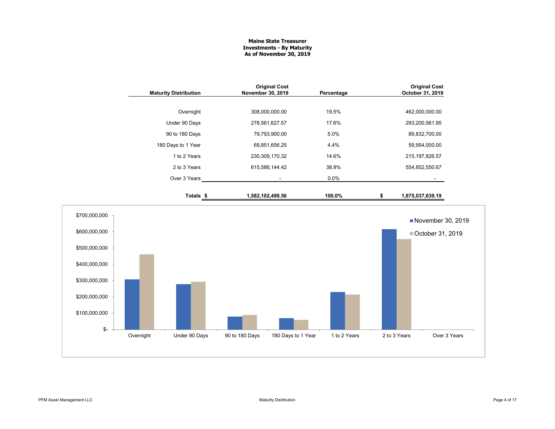# **Maine State Treasurer Investments - By Maturity As of November 30, 2019**

| <b>Maturity Distribution</b> | <b>Original Cost</b><br>November 30, 2019 | Percentage | <b>Original Cost</b><br>October 31, 2019 |
|------------------------------|-------------------------------------------|------------|------------------------------------------|
|                              |                                           |            |                                          |
| Overnight                    | 308,000,000.00                            | 19.5%      | 462,000,000.00                           |
| Under 90 Days                | 278,561,627.57                            | 17.6%      | 293,200,561.95                           |
| 90 to 180 Days               | 79,793,900.00                             | 5.0%       | 89,832,700.00                            |
| 180 Days to 1 Year           | 69,851,656.25                             | 4.4%       | 59,954,000.00                            |
| 1 to 2 Years                 | 230,309,170.32                            | 14.6%      | 215, 197, 826.57                         |
| 2 to 3 Years                 | 615.586.144.42                            | 38.9%      | 554,852,550.67                           |
| Over 3 Years                 |                                           | $0.0\%$    |                                          |
| Totals \$                    | 1,582,102,498.56                          | 100.0%     | \$<br>1,675,037,639.19                   |

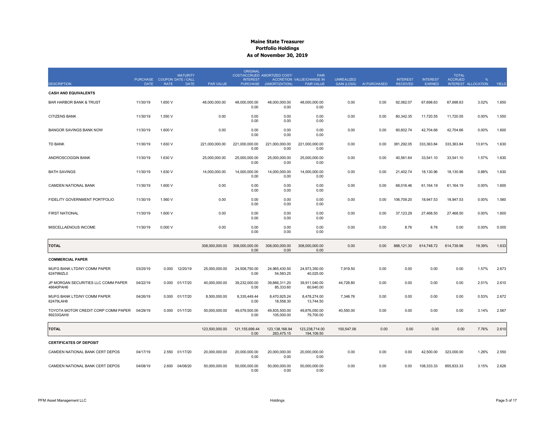|                                                  |                                            |         | <b>MATURITY</b> |                  | <b>ORIGINAL</b>                    | COST/ACCRUED AMORTIZED COST/ | <b>FAIR</b>                                    |                                         |              |                                    |                                  | <b>TOTAL</b>   |                     |       |
|--------------------------------------------------|--------------------------------------------|---------|-----------------|------------------|------------------------------------|------------------------------|------------------------------------------------|-----------------------------------------|--------------|------------------------------------|----------------------------------|----------------|---------------------|-------|
| <b>DESCRIPTION</b>                               | PURCHASE COUPON DATE / CALL<br><b>DATE</b> | RATE    | <b>DATE</b>     | <b>PAR VALUE</b> | <b>INTEREST</b><br><b>PURCHASE</b> | (AMORTIZATION)               | ACCRETION VALUE/CHANGE IN<br><b>FAIR VALUE</b> | <b>UNREALIZED</b><br><b>GAIN (LOSS)</b> | AI PURCHASED | <b>INTEREST</b><br><b>RECEIVED</b> | <b>INTEREST</b><br><b>EARNED</b> | <b>ACCRUED</b> | INTEREST ALLOCATION | YIELD |
| <b>CASH AND EQUIVALENTS</b>                      |                                            |         |                 |                  |                                    |                              |                                                |                                         |              |                                    |                                  |                |                     |       |
| <b>BAR HARBOR BANK &amp; TRUST</b>               | 11/30/19                                   | 1.650 V |                 | 48,000,000.00    | 48,000,000.00<br>0.00              | 48,000,000.00<br>0.00        | 48,000,000.00<br>0.00                          | 0.00                                    | 0.00         | 92,062.07                          | 67,698.63                        | 67,698.63      | 3.02%               | 1.650 |
| <b>CITIZENS BANK</b>                             | 11/30/19                                   | 1.550 V |                 | 0.00             | 0.00<br>0.00                       | 0.00<br>0.00                 | 0.00<br>0.00                                   | 0.00                                    | 0.00         | 80,342.35                          | 11,720.55                        | 11,720.55      | 0.00%               | 1.550 |
| <b>BANGOR SAVINGS BANK NOW</b>                   | 11/30/19                                   | 1.600 V |                 | 0.00             | 0.00<br>0.00                       | 0.00<br>0.00                 | 0.00<br>0.00                                   | 0.00                                    | 0.00         | 60,602.74                          | 42,704.66                        | 42,704.66      | 0.00%               | 1.600 |
| <b>TD BANK</b>                                   | 11/30/19                                   | 1.630 V |                 | 221,000,000.00   | 221,000,000.00<br>0.00             | 221,000,000.00<br>0.00       | 221,000,000.00<br>0.00                         | 0.00                                    | 0.00         | 381,292.05                         | 333,363.84                       | 333,363.84     | 13.91%              | 1.630 |
| ANDROSCOGGIN BANK                                | 11/30/19                                   | 1.630 V |                 | 25,000,000.00    | 25,000,000.00<br>0.00              | 25,000,000.00<br>0.00        | 25,000,000.00<br>0.00                          | 0.00                                    | 0.00         | 40,561.64                          | 33,541.10                        | 33,541.10      | 1.57%               | 1.630 |
| <b>BATH SAVINGS</b>                              | 11/30/19                                   | 1.630 V |                 | 14,000,000.00    | 14,000,000.00<br>0.00              | 14,000,000.00<br>0.00        | 14,000,000.00<br>0.00                          | 0.00                                    | 0.00         | 21,402.74                          | 18,130.96                        | 18,130.96      | 0.88%               | 1.630 |
| CAMDEN NATIONAL BANK                             | 11/30/19                                   | 1.600 V |                 | 0.00             | 0.00<br>0.00                       | 0.00<br>0.00                 | 0.00<br>0.00                                   | 0.00                                    | 0.00         | 68,016.46                          | 61,164.19                        | 61,164.19      | 0.00%               | 1.600 |
| FIDELITY GOVERNMENT PORTFOLIO                    | 11/30/19                                   | 1.560 V |                 | 0.00             | 0.00<br>0.00                       | 0.00<br>0.00                 | 0.00<br>0.00                                   | 0.00                                    | 0.00         | 106,709.20                         | 18,947.53                        | 18,947.53      | 0.00%               | 1.560 |
| <b>FIRST NATIONAL</b>                            | 11/30/19                                   | 1.600 V |                 | 0.00             | 0.00<br>0.00                       | 0.00<br>0.00                 | 0.00<br>0.00                                   | 0.00                                    | 0.00         | 37.123.29                          | 27.468.50                        | 27.468.50      | 0.00%               | 1.600 |
| MISCELLAENOUS INCOME                             | 11/30/19                                   | 0.000V  |                 | 0.00             | 0.00<br>0.00                       | 0.00<br>0.00                 | 0.00<br>0.00                                   | 0.00                                    | 0.00         | 8.76                               | 8.76                             | 0.00           | 0.00%               | 0.000 |
| <b>TOTAL</b>                                     |                                            |         |                 | 308,000,000.00   | 308,000,000.00<br>0.00             | 308,000,000.00<br>0.00       | 308,000,000.00<br>0.00                         | 0.00                                    | 0.00         | 888,121.30                         | 614,748.72                       | 614,739.96     | 19.39%              | 1.633 |
| <b>COMMERCIAL PAPER</b>                          |                                            |         |                 |                  |                                    |                              |                                                |                                         |              |                                    |                                  |                |                     |       |
| MUFG BANK LTD/NY COMM PAPER<br>62479MZL0         | 03/25/19                                   | 0.000   | 12/20/19        | 25,000,000.00    | 24,508,750.00<br>0.00              | 24,965,430.50<br>54,583.25   | 24,973,350.00<br>40,025.00                     | 7,919.50                                | 0.00         | 0.00                               | 0.00                             | 0.00           | 1.57%               | 2.673 |
| JP MORGAN SECURITIES LLC COMM PAPER<br>46640PAH6 | 04/22/19                                   | 0.000   | 01/17/20        | 40,000,000.00    | 39,232,000.00<br>0.00              | 39,866,311.20<br>85,333.60   | 39,911,040.00<br>60,640.00                     | 44,728.80                               | 0.00         | 0.00                               | 0.00                             | 0.00           | 2.51%               | 2.610 |
| MUFG BANK LTD/NY COMM PAPER<br>62479LAH8         | 04/26/19                                   | 0.000   | 01/17/20        | 8,500,000.00     | 8,335,449.44<br>0.00               | 8,470,925.24<br>18,558.30    | 8,478,274.00<br>13,744.50                      | 7,348.76                                | 0.00         | 0.00                               | 0.00                             | 0.00           | 0.53%               | 2.672 |
| TOYOTA MOTOR CREDIT CORP COMM PAPER<br>89233GAH9 | 04/29/19                                   | 0.000   | 01/17/20        | 50,000,000.00    | 49,079,500.00<br>0.00              | 49,835,500.00<br>105,000.00  | 49,876,050.00<br>79,700.00                     | 40,550.00                               | 0.00         | 0.00                               | 0.00                             | 0.00           | 3.14%               | 2.567 |
| <b>TOTAL</b>                                     |                                            |         |                 | 123.500.000.00   | 121.155.699.44<br>0.00             | 123.138.166.94<br>263,475.15 | 123.238.714.00<br>194,109.50                   | 100,547.06                              | 0.00         | 0.00                               | 0.00                             | 0.00           | 7.76%               | 2.610 |
| <b>CERTIFICATES OF DEPOSIT</b>                   |                                            |         |                 |                  |                                    |                              |                                                |                                         |              |                                    |                                  |                |                     |       |
| CAMDEN NATIONAL BANK CERT DEPOS                  | 04/17/19                                   | 2.550   | 01/17/20        | 20,000,000.00    | 20,000,000.00<br>0.00              | 20,000,000.00<br>0.00        | 20,000,000.00<br>0.00                          | 0.00                                    | 0.00         | 0.00                               | 42,500.00                        | 323,000.00     | 1.26%               | 2.550 |
| CAMDEN NATIONAL BANK CERT DEPOS                  | 04/08/19                                   | 2.600   | 04/08/20        | 50,000,000.00    | 50,000,000.00<br>0.00              | 50,000,000.00<br>0.00        | 50,000,000.00<br>0.00                          | 0.00                                    | 0.00         | 0.00                               | 108,333.33                       | 855.833.33     | 3.15%               | 2.626 |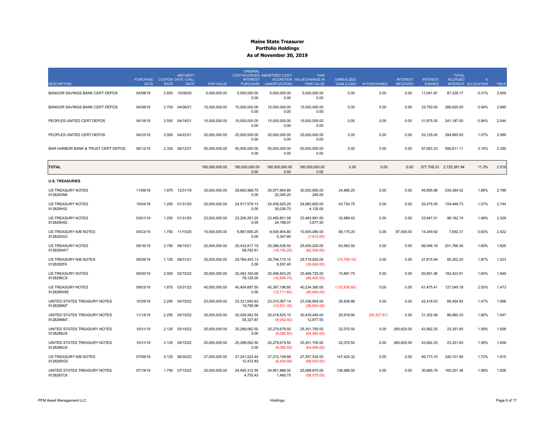|                                            | <b>PURCHASE</b> | <b>MATURITY</b><br><b>COUPON DATE / CALL</b> |                  | <b>ORIGINAL</b><br><b>INTEREST</b> | COST/ACCRUED AMORTIZED COST/  | <b>FAIR</b><br>ACCRETION VALUE/CHANGE IN | <b>UNREALIZED</b> |              | <b>INTEREST</b> | <b>INTEREST</b> | <b>TOTAL</b><br><b>ACCRUED</b> | $\mathbf{Q}$ |       |
|--------------------------------------------|-----------------|----------------------------------------------|------------------|------------------------------------|-------------------------------|------------------------------------------|-------------------|--------------|-----------------|-----------------|--------------------------------|--------------|-------|
| <b>DESCRIPTION</b>                         | <b>DATE</b>     | <b>RATE</b><br><b>DATE</b>                   | <b>PAR VALUE</b> | <b>PURCHASE</b>                    | (AMORTIZATION)                | <b>FAIR VALUE</b>                        | GAIN (LOSS)       | AI PURCHASED | <b>RECEIVED</b> | <b>FARNED</b>   | INTEREST ALLOCATION            |              | YIELD |
| BANGOR SAVINGS BANK CERT DEPOS             | 04/08/19        | 10/08/20<br>2.650                            | 5,000,000.00     | 5,000,000.00<br>0.00               | 5,000,000.00<br>0.00          | 5,000,000.00<br>0.00                     | 0.00              | 0.00         | 0.00            | 11,041.67       | 87,229.17                      | 0.31%        | 2.659 |
| BANGOR SAVINGS BANK CERT DEPOS             | 04/08/19        | 2.700<br>04/08/21                            | 15,000,000.00    | 15,000,000.00<br>0.00              | 15,000,000.00<br>0.00         | 15,000,000.00<br>0.00                    | 0.00              | 0.00         | 0.00            | 33,750.00       | 266,625.00                     | 0.94%        | 2.690 |
| PEOPLES UNITED CERT DEPOS                  | 04/18/19        | 04/18/21<br>2.550                            | 15,000,000.00    | 15,000,000.00<br>0.00              | 15,000,000.00<br>0.00         | 15,000,000.00<br>0.00                    | 0.00              | 0.00         | 0.00            | 31,875.00       | 241,187.50                     | 0.94%        | 2.544 |
| PEOPLES UNITED CERT DEPOS                  | 04/22/19        | 2.550<br>04/22/21                            | 25,000,000.00    | 25,000,000.00<br>0.00              | 25,000,000.00<br>0.00         | 25,000,000.00<br>0.00                    | 0.00              | 0.00         | 0.00            | 53,125.00       | 394,895.83                     | 1.57%        | 2.589 |
| BAR HARBOR BANK & TRUST CERT DEPOS         | 06/12/19        | 2.330 06/12/21                               | 50,000,000.00    | 50,000,000.00<br>0.00              | 50,000,000.00<br>0.00         | 50.000.000.00<br>0.00                    | 0.00              | 0.00         | 0.00            | 97.083.33       | 556,611.11                     | 3.15%        | 2.290 |
| <b>TOTAL</b>                               |                 |                                              | 180,000,000.00   | 180,000,000.00<br>0.00             | 180.000.000.00<br>0.00        | 180,000,000.00<br>0.00                   | 0.00              | 0.00         | 0.00            |                 | 377,708.33 2,725,381.94        | 11.3%        | 2.519 |
| <b>U.S. TREASURIES</b>                     |                 |                                              |                  |                                    |                               |                                          |                   |              |                 |                 |                                |              |       |
| US TREASURY NOTES<br>9128283N8             | 11/08/18        | 12/31/19<br>1.875                            | 30,000,000.00    | 29,692,968.75<br>0.00              | 29,977,954.80<br>22,045.20    | 30,002,850.00<br>240.00                  | 24,895.20         | 0.00         | 0.00            | 45,855.98       | 235,394.02                     | 1.89%        | 2.789 |
| US TREASURY NOTES<br>912828H52             | 10/04/18        | 1.250<br>01/31/20                            | 25,000,000.00    | 24,517,578.13<br>0.00              | 24,938,925.25<br>30,036.75    | 24,982,650.00<br>4,125.00                | 43,724.75         | 0.00         | 0.00            | 25,475.55       | 104,449.73                     | 1.57%        | 2.744 |
| US TREASURY NOTES<br>912828H52             | 03/01/19        | 1.250<br>01/31/20                            | 23,500,000.00    | 23.228.281.25<br>0.00              | 23,450,801.58<br>24,196.07    | 23,483,691.00<br>3,877.50                | 32,889.42         | 0.00         | 0.00            | 23,947.01       | 98,182.74                      | 1.48%        | 2.529 |
| US TREASURY N/B NOTES<br>9128283G3         | 04/23/19        | 11/15/20<br>1.750                            | 10,000,000.00    | 9,897,656.25<br>0.00               | 9,936,904.80<br>5,347.80      | 10,005,080.00<br>(7,810.00)              | 68,175.20         | 0.00         | 87,500.00       | 14,349.92       | 7,692.31                       | 0.63%        | 2.422 |
| <b>US TREASURY NOTES</b><br>9128284W7      | 09/16/19        | 2.750<br>08/15/21                            | 25,000,000.00    | 25.432.617.19<br>59,782.61         | 25,386,636.50<br>(18, 150.25) | 25,450,200.00<br>(62,500.00)             | 63.563.50         | 0.00         | 0.00            | 56.046.19       | 201.766.30                     | 1.60%        | 1.825 |
| US TREASURY N/B NOTES<br>9128282F6         | 08/28/19        | 08/31/21<br>1.125                            | 30,000,000.00    | 29.764.453.13<br>0.00              | 29.794.715.10<br>9,557.40     | 29,719,920.00<br>(39, 840.00)            | (74, 795.10)      | 0.00         | 0.00            | 27,815.94       | 85,302.20                      | 1.87%        | 1.523 |
| <b>US TREASURY NOTES</b><br>9128286C9      | 09/30/19        | 2.500<br>02/15/22                            | 25.000.000.00    | 25.493.164.06<br>78,125.00         | 25.458.843.25<br>(16,606.75)  | 25.469.725.00<br>(66, 400.00)            | 10.881.75         | 0.00         | 0.00            | 50.951.08       | 183.423.91                     | 1.60%        | 1.649 |
| US TREASURY NOTES<br>912828W89             | 09/03/19        | 1.875<br>03/31/22                            | 40,000,000.00    | 40,404,687.50<br>0.00              | 40,367,196.80<br>(12,711.60)  | 40,234,360.00<br>(90,640.00)             | (132, 836.80)     | 0.00         | 0.00            | 61,475.41       | 127,049.18                     | 2.53%        | 1.473 |
| UNITED STATES TREASURY NOTES<br>9128286M7  | 10/29/19        | 2.250<br>04/15/22                            | 23,000,000.00    | 23,321,640.63<br>19,795.08         | 23,310,067.14<br>(10,521.35)  | 23,336,904.00<br>(56,603.00)             | 26,836.86         | 0.00         | 0.00            | 42,418.03       | 66,454.92                      | 1.47%        | 1.668 |
| UNITED STATES TREASURY NOTES<br>9128286M7. | 11/14/19        | 04/15/22<br>2.250                            | 30,000,000.00    | 30,426,562.50<br>55,327.87         | 30,418,520.10<br>(8,042.40)   | 30,439,440.00<br>12,877.50               | 20,919.90         | (55, 327.87) | 0.00            | 31,352.46       | 86,680.33                      | 1.92%        | 1.647 |
| UNITED STATES TREASURY NOTES<br>9128286U9  | 10/31/19        | 2.125<br>05/15/22                            | 25,000,000.00    | 25,289,062.50<br>0.00              | 25,279,679.50<br>(9,085.50)   | 25,301,750.00<br>(64, 450.00)            | 22,070.50         | 0.00         | 265,625.00      | 43,562.25       | 23,351.65                      | 1.59%        | 1.658 |
| UNITED STATES TREASURY NOTES<br>9128286U9  | 10/31/19        | 2.125 05/15/22                               | 25,000,000.00    | 25,289,062.50<br>0.00              | 25,279,679.50<br>(9,085.50)   | 25,301,750.00<br>(64, 450.00)            | 22,070.50         | 0.00         | 265,625.00      | 43,562.25       | 23,351.65                      | 1.59%        | 1.658 |
| US TREASURY N/B NOTES<br>912828XG0         | 07/08/19        | 06/30/22<br>2.125                            | 27,000,000.00    | 27,241,523.44<br>12.472.83         | 27,210,109.68<br>(6,454.89)   | 27,357,534.00<br>(68, 553.00)            | 147,424.32        | 0.00         | 0.00            | 46,773.10       | 240,101.90                     | 1.72%        | 1.815 |
| UNITED STATES TREASURY NOTES<br>9128287C8  | 07/19/19        | 1.750 07/15/22                               | 25,000,000.00    | 24.945.312.50<br>4,755.43          | 24.951.886.00<br>1,460.75     | 25,088,875.00<br>(58, 575.00)            | 136.989.00        | 0.00         | 0.00            | 35,665.76       | 165.251.36                     | 1.58%        | 1.826 |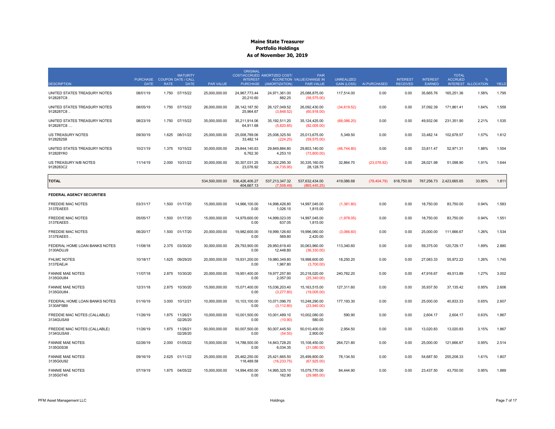| <b>DESCRIPTION</b>                         | <b>PURCHASE</b><br><b>DATE</b> | <b>RATE</b> | <b>MATURITY</b><br><b>COUPON DATE / CALL</b><br><b>DATE</b> | <b>PAR VALUE</b> | <b>ORIGINAL</b><br><b>INTEREST</b><br><b>PURCHASE</b> | COST/ACCRUED AMORTIZED COST/<br>(AMORTIZATION) | <b>FAIR</b><br>ACCRETION VALUE/CHANGE IN<br><b>FAIR VALUE</b> | <b>UNREALIZED</b><br>GAIN (LOSS) | AI PURCHASED | <b>INTEREST</b><br><b>RECEIVED</b> | <b>INTEREST</b><br><b>FARNED</b> | <b>TOTAL</b><br><b>ACCRUED</b> | $\frac{9}{6}$<br>INTEREST ALLOCATION | YIELD |
|--------------------------------------------|--------------------------------|-------------|-------------------------------------------------------------|------------------|-------------------------------------------------------|------------------------------------------------|---------------------------------------------------------------|----------------------------------|--------------|------------------------------------|----------------------------------|--------------------------------|--------------------------------------|-------|
| UNITED STATES TREASURY NOTES<br>9128287C8. | 08/01/19                       | 1.750       | 07/15/22                                                    | 25,000,000.00    | 24,967,773.44<br>20.210.60                            | 24,971,361.00<br>882.25                        | 25,088,875.00<br>(58, 575.00)                                 | 117,514.00                       | 0.00         | 0.00                               | 35,665.76                        | 165,251.36                     | 1.58%                                | 1.795 |
| UNITED STATES TREASURY NOTES<br>9128287C8  | 08/05/19                       | 1.750       | 07/15/22                                                    | 26,000,000.00    | 26, 142, 187.50<br>25.964.67                          | 26, 127, 049.52<br>(3,848.52)                  | 26,092,430.00<br>(60, 918.00)                                 | (34,619.52)                      | 0.00         | 0.00                               | 37,092.39                        | 171,861.41                     | 1.64%                                | 1.559 |
| UNITED STATES TREASURY NOTES<br>9128287C8  | 08/23/19                       | 1.750       | 07/15/22                                                    | 35,000,000.00    | 35,211,914.06<br>64.911.68                            | 35, 192, 511.20<br>(5,820.85)                  | 35,124,425.00<br>(82,005.00)                                  | (68,086.20)                      | 0.00         | 0.00                               | 49,932.06                        | 231,351.90                     | 2.21%                                | 1.535 |
| US TREASURY NOTES<br>9128282S8             | 09/30/19                       | 1.625       | 08/31/22                                                    | 25,000,000.00    | 25,008,789.06<br>33,482.14                            | 25,008,325.50<br>(224.25)                      | 25,013,675.00<br>(59, 575.00)                                 | 5,349.50                         | 0.00         | 0.00                               | 33,482.14                        | 102,678.57                     | 1.57%                                | 1.612 |
| UNITED STATES TREASURY NOTES<br>912828YK0  | 10/21/19                       | 1.375       | 10/15/22                                                    | 30,000,000.00    | 29.844.140.63<br>6,762.30                             | 29,849,884.80<br>4,253.10                      | 29,803,140.00<br>(73,800.00)                                  | (46,744.80)                      | 0.00         | 0.00                               | 33,811.47                        | 52,971.31                      | 1.88%                                | 1.554 |
| US TREASURY N/B NOTES<br>9128283C2         | 11/14/19                       | 2.000       | 10/31/22                                                    | 30,000,000.00    | 30,307,031.25<br>23,076.92                            | 30,302,295.30<br>(4,735.95)                    | 30,335,160.00<br>28,128.75                                    | 32,864.70                        | (23,076.92)  | 0.00                               | 28,021.98                        | 51,098.90                      | 1.91%                                | 1.644 |
| <b>TOTAL</b>                               |                                |             |                                                             | 534,500,000.00   | 536,426,406.27<br>404.667.13                          | 537,213,347.32<br>(7.508.49)                   | 537,632,434.00<br>(865.445.25)                                | 419,086.68                       | (78, 404.79) | 618,750.00                         |                                  | 767,256.73 2,423,665.65        | 33.85%                               | 1.811 |
| <b>FEDERAL AGENCY SECURITIES</b>           |                                |             |                                                             |                  |                                                       |                                                |                                                               |                                  |              |                                    |                                  |                                |                                      |       |
| FREDDIE MAC NOTES<br>3137EAEE5             | 03/31/17                       | 1.500       | 01/17/20                                                    | 15,000,000.00    | 14,966,100.00<br>0.00                                 | 14,998,426.80<br>1,026.15                      | 14,997,045.00<br>1,815.00                                     | (1,381.80)                       | 0.00         | 0.00                               | 18,750.00                        | 83,750.00                      | 0.94%                                | 1.583 |
| <b>FREDDIE MAC NOTES</b><br>3137EAEE5      | 05/05/17                       | 1.500       | 01/17/20                                                    | 15,000,000.00    | 14.979.600.00<br>0.00                                 | 14.999.023.05<br>637.05                        | 14,997,045.00<br>1,815.00                                     | (1,978.05)                       | 0.00         | 0.00                               | 18.750.00                        | 83.750.00                      | 0.94%                                | 1.551 |
| <b>FREDDIE MAC NOTES</b><br>3137EAEE5      | 06/20/17                       | 1.500       | 01/17/20                                                    | 20,000,000.00    | 19,982,600.00<br>0.00                                 | 19,999,126.60<br>569.80                        | 19,996,060.00<br>2,420.00                                     | (3,066.60)                       | 0.00         | 0.00                               | 25,000.00                        | 111,666.67                     | 1.26%                                | 1.534 |
| FEDERAL HOME LOAN BANKS NOTES<br>3130ADUJ9 | 11/08/18                       | 2.375       | 03/30/20                                                    | 30,000,000.00    | 29,793,900.00<br>0.00                                 | 29.950.619.40<br>12,448.80                     | 30,063,960.00<br>(36, 330.00)                                 | 113,340.60                       | 0.00         | 0.00                               | 59.375.00                        | 120,729.17                     | 1.89%                                | 2.880 |
| <b>FHLMC NOTES</b><br>3137EAEJ4            | 10/18/17                       | 1.625       | 09/29/20                                                    | 20,000,000.00    | 19,931,200.00<br>0.00                                 | 19.980.349.80<br>1,967.80                      | 19,998,600.00<br>(3,700.00)                                   | 18,250.20                        | 0.00         | 0.00                               | 27,083.33                        | 55,972.22                      | 1.26%                                | 1.745 |
| <b>FANNIE MAE NOTES</b><br>3135G0U84       | 11/07/18                       | 2.875       | 10/30/20                                                    | 20.000.000.00    | 19.951.400.00<br>0.00                                 | 19.977.257.80<br>2,057.00                      | 20.218.020.00<br>(25,340.00)                                  | 240.762.20                       | 0.00         | 0.00                               | 47.916.67                        | 49.513.89                      | 1.27%                                | 3.002 |
| <b>FANNIE MAE NOTES</b><br>3135G0U84       | 12/31/18                       | 2.875       | 10/30/20                                                    | 15,000,000.00    | 15,071,400.00<br>0.00                                 | 15,036,203.40<br>(3,277.80)                    | 15,163,515.00<br>(19,005.00)                                  | 127,311.60                       | 0.00         | 0.00                               | 35,937.50                        | 37,135.42                      | 0.95%                                | 2.606 |
| FEDERAL HOME LOAN BANKS NOTES<br>3130AF5B9 | 01/16/19                       | 3.000       | 10/12/21                                                    | 10,000,000.00    | 10,103,100.00<br>0.00                                 | 10,071,096.70<br>(3, 112.80)                   | 10,248,290.00<br>(23,940.00)                                  | 177, 193.30                      | 0.00         | 0.00                               | 25,000.00                        | 40,833.33                      | 0.65%                                | 2.607 |
| FREDDIE MAC NOTES (CALLABLE)<br>3134GUSA9  | 11/26/19                       | 1.875       | 11/26/21<br>02/26/20                                        | 10,000,000.00    | 10,001,500.00<br>0.00                                 | 10,001,489.10<br>(10.90)                       | 10,002,080.00<br>580.00                                       | 590.90                           | 0.00         | 0.00                               | 2,604.17                         | 2,604.17                       | 0.63%                                | 1.867 |
| FREDDIE MAC NOTES (CALLABLE)<br>3134GUSA9  | 11/26/19                       | 1.875       | 11/26/21<br>02/26/20                                        | 50,000,000.00    | 50,007,500.00<br>0.00                                 | 50,007,445.50<br>(54.50)                       | 50,010,400.00<br>2,900.00                                     | 2,954.50                         | 0.00         | 0.00                               | 13,020.83                        | 13,020.83                      | 3.15%                                | 1.867 |
| <b>FANNIE MAE NOTES</b><br>3135G0S38       | 02/26/19                       | 2.000       | 01/05/22                                                    | 15,000,000.00    | 14,788,500.00<br>0.00                                 | 14,843,728.20<br>6,034.35                      | 15,108,450.00<br>(31,080.00)                                  | 264,721.80                       | 0.00         | 0.00                               | 25,000.00                        | 121,666.67                     | 0.95%                                | 2.514 |
| <b>FANNIE MAE NOTES</b><br>3135G0U92       | 09/16/19                       | 2.625       | 01/11/22                                                    | 25,000,000.00    | 25,462,250.00<br>118,489.58                           | 25,421,665.50<br>(16, 233.75)                  | 25,499,800.00<br>(67, 925.00)                                 | 78,134.50                        | 0.00         | 0.00                               | 54,687.50                        | 255,208.33                     | 1.61%                                | 1.807 |
| <b>FANNIE MAE NOTES</b><br>3135G0T45       | 07/19/19                       |             | 1.875 04/05/22                                              | 15,000,000.00    | 14,994,450.00<br>0.00                                 | 14.995.325.10<br>162.90                        | 15,079,770.00<br>(29,985.00)                                  | 84.444.90                        | 0.00         | 0.00                               | 23,437.50                        | 43.750.00                      | 0.95%                                | 1.889 |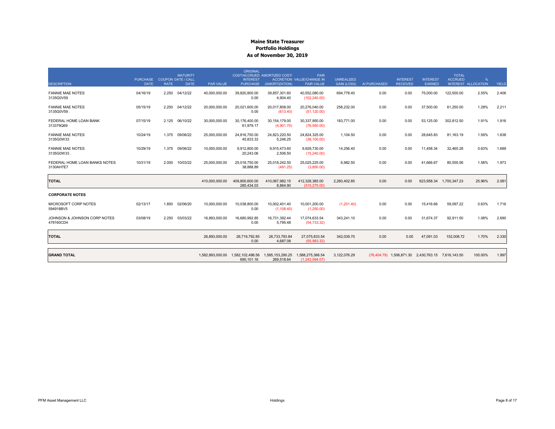| <b>DESCRIPTION</b>                         | <b>PURCHASE</b><br><b>DATE</b> | <b>RATE</b> | <b>MATURITY</b><br><b>COUPON DATE / CALL</b><br><b>DATE</b> | PAR VALUE        | <b>ORIGINAL</b><br><b>INTEREST</b><br><b>PURCHASE</b> | COST/ACCRUED AMORTIZED COST/<br>(AMORTIZATION) | <b>FAIR</b><br>ACCRETION VALUE/CHANGE IN<br><b>FAIR VALUE</b> | <b>UNREALIZED</b><br><b>GAIN (LOSS)</b> | AI PURCHASED | <b>INTEREST</b><br><b>RECEIVED</b> | <b>INTEREST</b><br><b>EARNED</b>                   | <b>TOTAL</b><br><b>ACCRUED</b><br>INTEREST ALLOCATION | $\frac{9}{6}$ | YIELD |
|--------------------------------------------|--------------------------------|-------------|-------------------------------------------------------------|------------------|-------------------------------------------------------|------------------------------------------------|---------------------------------------------------------------|-----------------------------------------|--------------|------------------------------------|----------------------------------------------------|-------------------------------------------------------|---------------|-------|
| <b>FANNIE MAE NOTES</b><br>3135G0V59       | 04/16/19                       | 2.250       | 04/12/22                                                    | 40,000,000.00    | 39,820,800.00<br>0.00                                 | 39,857,301.60<br>4,904.40                      | 40,552,080.00<br>(102, 240.00)                                | 694,778.40                              | 0.00         | 0.00                               | 75,000.00                                          | 122,500.00                                            | 2.55%         | 2.406 |
| <b>FANNIE MAE NOTES</b><br>3135G0V59.      | 05/15/19                       |             | 2.250 04/12/22                                              | 20,000,000.00    | 20,021,600.00<br>0.00                                 | 20,017,808.00<br>(613.40)                      | 20,276,040.00<br>(51, 120.00)                                 | 258,232.00                              | 0.00         | 0.00                               | 37,500.00                                          | 61,250.00                                             | 1.28%         | 2.211 |
| FEDERAL HOME LOAN BANK<br>313379Q69        | 07/15/19                       |             | 2.125 06/10/22                                              | 30,000,000.00    | 30,176,400.00<br>61,979.17                            | 30, 154, 179.00<br>(4,901.70)                  | 30,337,950.00<br>(76,950.00)                                  | 183.771.00                              | 0.00         | 0.00                               | 53,125.00                                          | 302,812.50                                            | 1.91%         | 1.916 |
| <b>FANNIE MAE NOTES</b><br>3135G0W33       | 10/24/19                       | 1.375       | 09/06/22                                                    | 25,000,000.00    | 24,816,750.00<br>45,833.33                            | 24,823,220.50<br>5,246.25                      | 24,824,325.00<br>(38, 100.00)                                 | 1,104.50                                | 0.00         | 0.00                               | 28,645.83                                          | 81,163.19                                             | 1.56%         | 1.638 |
| <b>FANNIE MAE NOTES</b><br>3135G0W33       | 10/29/19                       | 1.375       | 09/06/22                                                    | 10,000,000.00    | 9,912,800.00<br>20.243.06                             | 9.915.473.60<br>2,506.50                       | 9.929.730.00<br>(15,240.00)                                   | 14,256.40                               | 0.00         | 0.00                               | 11,458.34                                          | 32,465.28                                             | 0.63%         | 1.689 |
| FEDERAL HOME LOAN BANKS NOTES<br>3130AH7E7 | 10/31/19                       | 2.000       | 10/03/22                                                    | 25,000,000.00    | 25,018,750.00<br>38,888.89                            | 25,018,242.50<br>(491.25)                      | 25,025,225.00<br>(3,850.00)                                   | 6,982.50                                | 0.00         | 0.00                               | 41,666.67                                          | 80,555.56                                             | 1.58%         | 1.973 |
| <b>TOTAL</b>                               |                                |             |                                                             | 410.000.000.00   | 409,800,600.00<br>285,434.03                          | 410,067,982.15<br>8.864.90                     | 412,328,385.00<br>(515, 275.00)                               | 2,260,402.85                            | 0.00         | 0.00                               |                                                    | 623,958.34 1,700,347.23                               | 25.96%        | 2.081 |
| <b>CORPORATE NOTES</b>                     |                                |             |                                                             |                  |                                                       |                                                |                                                               |                                         |              |                                    |                                                    |                                                       |               |       |
| MICROSOFT CORP NOTES<br>594918BV5          | 02/13/17                       | 1.850       | 02/06/20                                                    | 10,000,000.00    | 10,038,800.00<br>0.00                                 | 10,002,401.40<br>(1, 108.40)                   | 10,001,200.00<br>(1,250.00)                                   | (1,201.40)                              | 0.00         | 0.00                               | 15,416.66                                          | 59,097.22                                             | 0.63%         | 1.716 |
| JOHNSON & JOHNSON CORP NOTES<br>478160CD4  | 03/08/19                       | 2.250       | 03/03/22                                                    | 16,893,000.00    | 16,680,992.85<br>0.00                                 | 16,731,392.44<br>5,795.48                      | 17,074,633.54<br>(54, 733.32)                                 | 343,241.10                              | 0.00         | 0.00                               | 31,674.37                                          | 92,911.50                                             | 1.08%         | 2.690 |
| <b>TOTAL</b>                               |                                |             |                                                             | 26,893,000.00    | 26,719,792.85<br>0.00                                 | 26,733,793.84<br>4,687.08                      | 27,075,833.54<br>(55.983.32)                                  | 342,039.70                              | 0.00         | 0.00                               | 47,091.03                                          | 152,008.72                                            | 1.70%         | 2.330 |
| <b>GRAND TOTAL</b>                         |                                |             |                                                             | 1.582.893.000.00 | 1,582,102,498.56<br>690.101.16                        | 1,585,153,290.25<br>269,518.64                 | 1,588,275,366.54<br>(1,242,594.07)                            | 3,122,076.29                            |              |                                    | (78,404.79) 1,506,871.30 2,430,763.15 7,616,143.50 |                                                       | 100.00%       | 1.997 |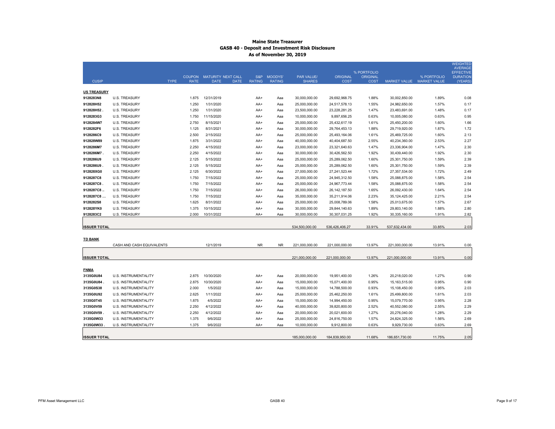## **Maine State Treasurer GASB 40 - Deposit and Investment Risk Disclosure As of November 30, 2019**

|                     |                             |                            |                                                         |               |                              |                             |                         |                                |                 |                                          | <b>WEIGHTED</b><br><b>AVERAGE</b> |
|---------------------|-----------------------------|----------------------------|---------------------------------------------------------|---------------|------------------------------|-----------------------------|-------------------------|--------------------------------|-----------------|------------------------------------------|-----------------------------------|
|                     |                             |                            |                                                         |               |                              |                             |                         | % PORTFOLIO                    |                 |                                          | <b>EFFECTIVE</b>                  |
| <b>CUSIP</b>        |                             | <b>TYPE</b><br><b>RATE</b> | COUPON MATURITY NEXT CALL<br><b>DATE</b><br><b>DATE</b> | <b>RATING</b> | S&P MOODYS'<br><b>RATING</b> | PAR VALUE/<br><b>SHARES</b> | ORIGINAL<br><b>COST</b> | <b>ORIGINAL</b><br><b>COST</b> |                 | % PORTFOLIO<br>MARKET VALUE MARKET VALUE | <b>DURATION</b><br>(YEARS)        |
|                     |                             |                            |                                                         |               |                              |                             |                         |                                |                 |                                          |                                   |
| <b>US TREASURY</b>  |                             |                            |                                                         |               |                              |                             |                         |                                |                 |                                          |                                   |
| 9128283N8           | <b>U.S. TREASURY</b>        | 1.875                      | 12/31/2019                                              | AA+           | Aaa                          | 30,000,000.00               | 29,692,968.75           | 1.88%                          | 30,002,850.00   | 1.89%                                    | 0.08                              |
| 912828H52           | U.S. TREASURY               | 1.250                      | 1/31/2020                                               | AA+           | Aaa                          | 25,000,000.00               | 24,517,578.13           | 1.55%                          | 24,982,650.00   | 1.57%                                    | 0.17                              |
| 912828H52           | <b>U.S. TREASURY</b>        | 1.250                      | 1/31/2020                                               | AA+           | Aaa                          | 23,500,000.00               | 23,228,281.25           | 1.47%                          | 23,483,691.00   | 1.48%                                    | 0.17                              |
| 9128283G3           | <b>U.S. TREASURY</b>        | 1.750                      | 11/15/2020                                              | AA+           | Aaa                          | 10,000,000.00               | 9,897,656.25            | 0.63%                          | 10,005,080.00   | 0.63%                                    | 0.95                              |
| 9128284W7           | <b>U.S. TREASURY</b>        | 2.750                      | 8/15/2021                                               | AA+           | Aaa                          | 25,000,000.00               | 25,432,617.19           | 1.61%                          | 25,450,200.00   | 1.60%                                    | 1.66                              |
| 9128282F6           | <b>U.S. TREASURY</b>        | 1.125                      | 8/31/2021                                               | AA+           | Aaa                          | 30,000,000.00               | 29,764,453.13           | 1.88%                          | 29,719,920.00   | 1.87%                                    | 1.72                              |
| 9128286C9           | <b>U.S. TREASURY</b>        | 2.500                      | 2/15/2022                                               | AA+           | Aaa                          | 25,000,000.00               | 25,493,164.06           | 1.61%                          | 25,469,725.00   | 1.60%                                    | 2.13                              |
| 912828W89           | <b>U.S. TREASURY</b>        | 1.875                      | 3/31/2022                                               | AA+           | Aaa                          | 40,000,000.00               | 40,404,687.50           | 2.55%                          | 40,234,360.00   | 2.53%                                    | 2.27                              |
| 9128286M7           | <b>U.S. TREASURY</b>        | 2.250                      | 4/15/2022                                               | AA+           | Aaa                          | 23,000,000.00               | 23,321,640.63           | 1.47%                          | 23,336,904.00   | 1.47%                                    | 2.30                              |
| 9128286M7           | U.S. TREASURY               | 2.250                      | 4/15/2022                                               | AA+           | Aaa                          | 30,000,000.00               | 30,426,562.50           | 1.92%                          | 30,439,440.00   | 1.92%                                    | 2.30                              |
| 9128286U9           | <b>U.S. TREASURY</b>        | 2.125                      | 5/15/2022                                               | AA+           | Aaa                          | 25,000,000.00               | 25,289,062.50           | 1.60%                          | 25,301,750.00   | 1.59%                                    | 2.39                              |
| 9128286U9           | <b>U.S. TREASURY</b>        | 2.125                      | 5/15/2022                                               | AA+           | Aaa                          | 25,000,000.00               | 25,289,062.50           | 1.60%                          | 25,301,750.00   | 1.59%                                    | 2.39                              |
| 912828XG0           | <b>U.S. TREASURY</b>        | 2.125                      | 6/30/2022                                               | AA+           | Aaa                          | 27,000,000.00               | 27,241,523.44           | 1.72%                          | 27,357,534.00   | 1.72%                                    | 2.49                              |
| 9128287C8           | <b>U.S. TREASURY</b>        | 1.750                      | 7/15/2022                                               | AA+           | Aaa                          | 25,000,000.00               | 24,945,312.50           | 1.58%                          | 25,088,875.00   | 1.58%                                    | 2.54                              |
| 9128287C8           | <b>U.S. TREASURY</b>        | 1.750                      | 7/15/2022                                               | AA+           | Aaa                          | 25,000,000.00               | 24,967,773.44           | 1.58%                          | 25,088,875.00   | 1.58%                                    | 2.54                              |
| 9128287C8           | <b>U.S. TREASURY</b>        | 1.750                      | 7/15/2022                                               | AA+           | Aaa                          | 26,000,000.00               | 26, 142, 187.50         | 1.65%                          | 26,092,430.00   | 1.64%                                    | 2.54                              |
| 9128287C8           | <b>U.S. TREASURY</b>        | 1.750                      | 7/15/2022                                               | AA+           | Aaa                          | 35,000,000.00               | 35,211,914.06           | 2.23%                          | 35, 124, 425.00 | 2.21%                                    | 2.54                              |
| 9128282S8           | U.S. TREASURY               | 1.625                      | 8/31/2022                                               | AA+           | Aaa                          | 25,000,000.00               | 25,008,789.06           | 1.58%                          | 25,013,675.00   | 1.57%                                    | 2.67                              |
| 912828YK0           | <b>U.S. TREASURY</b>        | 1.375                      | 10/15/2022                                              | AA+           | Aaa                          | 30,000,000.00               | 29,844,140.63           | 1.89%                          | 29,803,140.00   | 1.88%                                    | 2.80                              |
| 9128283C2           | <b>U.S. TREASURY</b>        | 2.000                      | 10/31/2022                                              | AA+           | Aaa                          | 30,000,000.00               | 30,307,031.25           | 1.92%                          | 30,335,160.00   | 1.91%                                    | 2.82                              |
|                     |                             |                            |                                                         |               |                              |                             |                         |                                |                 |                                          |                                   |
| <b>ISSUER TOTAL</b> |                             |                            |                                                         |               |                              | 534,500,000.00              | 536,426,406.27          | 33.91%                         | 537,632,434.00  | 33.85%                                   | 2.03                              |
| <b>TD BANK</b>      |                             |                            |                                                         |               |                              |                             |                         |                                |                 |                                          |                                   |
|                     | CASH AND CASH EQUIVALENTS   |                            | 12/1/2019                                               | NR.           | <b>NR</b>                    | 221,000,000.00              | 221,000,000.00          | 13.97%                         | 221,000,000.00  | 13.91%                                   | 0.00                              |
|                     |                             |                            |                                                         |               |                              |                             |                         |                                |                 |                                          |                                   |
| <b>ISSUER TOTAL</b> |                             |                            |                                                         |               |                              | 221,000,000.00              | 221,000,000.00          | 13.97%                         | 221,000,000.00  | 13.91%                                   | 0.00                              |
|                     |                             |                            |                                                         |               |                              |                             |                         |                                |                 |                                          |                                   |
| <b>FNMA</b>         |                             |                            |                                                         |               |                              |                             |                         |                                |                 |                                          |                                   |
| 3135G0U84           | U.S. INSTRUMENTALITY        | 2.875                      | 10/30/2020                                              | AA+           | Aaa                          | 20,000,000.00               | 19,951,400.00           | 1.26%                          | 20,218,020.00   | 1.27%                                    | 0.90                              |
| 3135G0U84.          | U.S. INSTRUMENTALITY        | 2.875                      | 10/30/2020                                              | AA+           | Aaa                          | 15,000,000.00               | 15,071,400.00           | 0.95%                          | 15, 163, 515.00 | 0.95%                                    | 0.90                              |
| 3135G0S38           | U.S. INSTRUMENTALITY        | 2.000                      | 1/5/2022                                                | AA+           | Aaa                          | 15,000,000.00               | 14,788,500.00           | 0.93%                          | 15,108,450.00   | 0.95%                                    | 2.03                              |
| 3135G0U92           | U.S. INSTRUMENTALITY        | 2.625                      | 1/11/2022                                               | AA+           | Aaa                          | 25,000,000.00               | 25,462,250.00           | 1.61%                          | 25,499,800.00   | 1.61%                                    | 2.03                              |
| 3135G0T45           | <b>U.S. INSTRUMENTALITY</b> | 1.875                      | 4/5/2022                                                | AA+           | Aaa                          | 15,000,000.00               | 14,994,450.00           | 0.95%                          | 15,079,770.00   | 0.95%                                    | 2.28                              |
| 3135G0V59           | U.S. INSTRUMENTALITY        | 2.250                      | 4/12/2022                                               | AA+           | Aaa                          | 40,000,000.00               | 39,820,800.00           | 2.52%                          | 40,552,080.00   | 2.55%                                    | 2.29                              |
| 3135G0V59           | U.S. INSTRUMENTALITY        | 2.250                      | 4/12/2022                                               | AA+           | Aaa                          | 20,000,000.00               | 20,021,600.00           | 1.27%                          | 20,276,040.00   | 1.28%                                    | 2.29                              |
| 3135G0W33           | U.S. INSTRUMENTALITY        | 1.375                      | 9/6/2022                                                | AA+           | Aaa                          | 25,000,000.00               | 24,816,750.00           | 1.57%                          | 24,824,325.00   | 1.56%                                    | 2.69                              |
| 3135G0W33           | U.S. INSTRUMENTALITY        | 1.375                      | 9/6/2022                                                | AA+           | Aaa                          | 10,000,000.00               | 9,912,800.00            | 0.63%                          | 9,929,730.00    | 0.63%                                    | 2.69                              |
|                     |                             |                            |                                                         |               |                              |                             |                         |                                |                 |                                          |                                   |
| <b>ISSUER TOTAL</b> |                             |                            |                                                         |               |                              | 185,000,000.00              | 184,839,950.00          | 11.68%                         | 186,651,730.00  | 11.75%                                   | 2.05                              |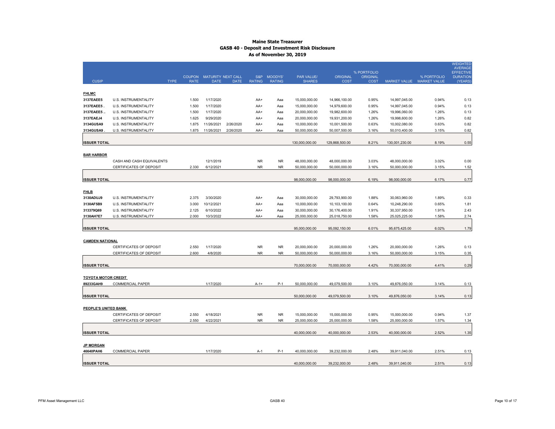## **Maine State Treasurer GASB 40 - Deposit and Investment Risk Disclosure As of November 30, 2019**

|                            |                                                    |                              |                                   |             |                      |                          |                                    |                                |                         |                                |                                    | <b>WEIGHTED</b><br><b>AVERAGE</b> |
|----------------------------|----------------------------------------------------|------------------------------|-----------------------------------|-------------|----------------------|--------------------------|------------------------------------|--------------------------------|-------------------------|--------------------------------|------------------------------------|-----------------------------------|
|                            |                                                    |                              |                                   |             |                      |                          |                                    |                                | % PORTFOLIO             |                                |                                    | <b>EFFECTIVE</b>                  |
| <b>CUSIP</b>               | <b>TYPE</b>                                        | <b>COUPON</b><br><b>RATE</b> | MATURITY NEXT CALL<br><b>DATE</b> | <b>DATE</b> | S&P<br><b>RATING</b> | MOODYS'<br><b>RATING</b> | <b>PAR VALUE/</b><br><b>SHARES</b> | <b>ORIGINAL</b><br><b>COST</b> | <b>ORIGINAL</b><br>COST | MARKET VALUE                   | % PORTFOLIO<br><b>MARKET VALUE</b> | <b>DURATION</b><br>(YEARS)        |
|                            |                                                    |                              |                                   |             |                      |                          |                                    |                                |                         |                                |                                    |                                   |
| <b>FHLMC</b>               |                                                    |                              |                                   |             |                      |                          |                                    |                                |                         |                                |                                    |                                   |
| 3137EAEE5                  | U.S. INSTRUMENTALITY                               | 1.500                        | 1/17/2020                         |             | AA+                  | Aaa                      | 15,000,000.00                      | 14,966,100.00                  | 0.95%                   | 14,997,045.00                  | 0.94%                              | 0.13                              |
| 3137EAEE5                  | U.S. INSTRUMENTALITY                               | 1.500                        | 1/17/2020                         |             | AA+                  | Aaa                      | 15,000,000.00                      | 14,979,600.00                  | 0.95%                   | 14,997,045.00                  | 0.94%                              | 0.13                              |
| 3137EAEE5.                 | U.S. INSTRUMENTALITY                               | 1.500                        | 1/17/2020                         |             | AA+                  | Aaa                      | 20,000,000.00                      | 19,982,600.00                  | 1.26%                   | 19,996,060.00                  | 1.26%                              | 0.13                              |
| 3137EAEJ4                  | U.S. INSTRUMENTALITY                               | 1.625                        | 9/29/2020                         |             | AA+                  | Aaa                      | 20,000,000.00                      | 19,931,200.00                  | 1.26%                   | 19,998,600.00                  | 1.26%                              | 0.82                              |
| 3134GUSA9                  | U.S. INSTRUMENTALITY                               | 1.875                        | 11/26/2021                        | 2/26/2020   | AA+                  | Aaa                      | 10,000,000.00                      | 10,001,500.00                  | 0.63%                   | 10,002,080.00                  | 0.63%                              | 0.82                              |
| 3134GUSA9                  | U.S. INSTRUMENTALITY                               | 1.875                        | 11/26/2021                        | 2/26/2020   | AA+                  | Aaa                      | 50,000,000.00                      | 50,007,500.00                  | 3.16%                   | 50,010,400.00                  | 3.15%                              | 0.82                              |
|                            |                                                    |                              |                                   |             |                      |                          |                                    |                                |                         |                                |                                    |                                   |
| <b>ISSUER TOTAL</b>        |                                                    |                              |                                   |             |                      |                          | 130,000,000.00                     | 129,868,500.00                 | 8.21%                   | 130,001,230.00                 | 8.19%                              | 0.55                              |
|                            |                                                    |                              |                                   |             |                      |                          |                                    |                                |                         |                                |                                    |                                   |
| <b>BAR HARBOR</b>          |                                                    |                              |                                   |             |                      |                          |                                    |                                |                         |                                |                                    |                                   |
|                            | CASH AND CASH EQUIVALENTS                          |                              | 12/1/2019                         |             | <b>NR</b>            | <b>NR</b>                | 48,000,000.00                      | 48,000,000.00                  | 3.03%                   | 48,000,000.00                  | 3.02%                              | 0.00                              |
|                            | CERTIFICATES OF DEPOSIT                            | 2.330                        | 6/12/2021                         |             | <b>NR</b>            | <b>NR</b>                | 50,000,000.00                      | 50,000,000.00                  | 3.16%                   | 50,000,000.00                  | 3.15%                              | 1.52                              |
|                            |                                                    |                              |                                   |             |                      |                          |                                    |                                |                         |                                |                                    |                                   |
| <b>ISSUER TOTAL</b>        |                                                    |                              |                                   |             |                      |                          | 98,000,000.00                      | 98,000,000.00                  | 6.19%                   | 98,000,000.00                  | 6.17%                              | 0.77                              |
|                            |                                                    |                              |                                   |             |                      |                          |                                    |                                |                         |                                |                                    |                                   |
| <b>FHLB</b>                |                                                    |                              |                                   |             |                      |                          |                                    |                                |                         |                                |                                    |                                   |
| 3130ADUJ9                  | U.S. INSTRUMENTALITY                               | 2.375                        | 3/30/2020                         |             | AA+                  | Aaa                      | 30,000,000.00                      | 29,793,900.00                  | 1.88%                   | 30,063,960.00                  | 1.89%                              | 0.33                              |
| 3130AF5B9                  | U.S. INSTRUMENTALITY                               | 3.000                        | 10/12/2021                        |             | AA+                  | Aaa                      | 10,000,000.00                      | 10,103,100.00                  | 0.64%                   | 10,248,290.00                  | 0.65%                              | 1.81                              |
| 313379Q69                  | <b>U.S. INSTRUMENTALITY</b>                        | 2.125                        | 6/10/2022                         |             | AA+                  | Aaa                      | 30,000,000.00                      | 30,176,400.00                  | 1.91%                   | 30,337,950.00                  | 1.91%                              | 2.43                              |
| 3130AH7E7                  | U.S. INSTRUMENTALITY                               | 2.000                        | 10/3/2022                         |             | AA+                  | Aaa                      | 25,000,000.00                      | 25,018,750.00                  | 1.58%                   | 25,025,225.00                  | 1.58%                              | 2.74                              |
|                            |                                                    |                              |                                   |             |                      |                          |                                    |                                |                         |                                |                                    |                                   |
| <b>ISSUER TOTAL</b>        |                                                    |                              |                                   |             |                      |                          | 95,000,000.00                      | 95,092,150.00                  | 6.01%                   | 95,675,425.00                  | 6.02%                              | 1.79                              |
|                            |                                                    |                              |                                   |             |                      |                          |                                    |                                |                         |                                |                                    |                                   |
| <b>CAMDEN NATIONAL</b>     |                                                    |                              | 1/17/2020                         |             | <b>NR</b>            | <b>NR</b>                |                                    |                                |                         |                                | 1.26%                              | 0.13                              |
|                            | CERTIFICATES OF DEPOSIT<br>CERTIFICATES OF DEPOSIT | 2.550<br>2.600               | 4/8/2020                          |             | <b>NR</b>            | <b>NR</b>                | 20,000,000.00<br>50,000,000.00     | 20,000,000.00<br>50,000,000.00 | 1.26%<br>3.16%          | 20,000,000.00<br>50,000,000.00 | 3.15%                              | 0.35                              |
|                            |                                                    |                              |                                   |             |                      |                          |                                    |                                |                         |                                |                                    |                                   |
| <b>ISSUER TOTAL</b>        |                                                    |                              |                                   |             |                      |                          | 70,000,000.00                      | 70,000,000.00                  | 4.42%                   | 70,000,000.00                  | 4.41%                              | 0.29                              |
|                            |                                                    |                              |                                   |             |                      |                          |                                    |                                |                         |                                |                                    |                                   |
| <b>TOYOTA MOTOR CREDIT</b> |                                                    |                              |                                   |             |                      |                          |                                    |                                |                         |                                |                                    |                                   |
| 89233GAH9                  | <b>COMMERCIAL PAPER</b>                            |                              | 1/17/2020                         |             | $A - 1 +$            | $P-1$                    | 50,000,000.00                      | 49,079,500.00                  | 3.10%                   | 49,876,050.00                  | 3.14%                              | 0.13                              |
|                            |                                                    |                              |                                   |             |                      |                          |                                    |                                |                         |                                |                                    |                                   |
| <b>ISSUER TOTAL</b>        |                                                    |                              |                                   |             |                      |                          | 50,000,000.00                      | 49,079,500.00                  | 3.10%                   | 49,876,050.00                  | 3.14%                              | 0.13                              |
|                            |                                                    |                              |                                   |             |                      |                          |                                    |                                |                         |                                |                                    |                                   |
| PEOPLE'S UNITED BANK       |                                                    |                              |                                   |             |                      |                          |                                    |                                |                         |                                |                                    |                                   |
|                            | <b>CERTIFICATES OF DEPOSIT</b>                     | 2.550                        | 4/18/2021                         |             | <b>NR</b>            | <b>NR</b>                | 15,000,000.00                      | 15,000,000.00                  | 0.95%                   | 15,000,000.00                  | 0.94%                              | 1.37                              |
|                            | <b>CERTIFICATES OF DEPOSIT</b>                     | 2.550                        | 4/22/2021                         |             | <b>NR</b>            | <b>NR</b>                | 25,000,000.00                      | 25,000,000.00                  | 1.58%                   | 25,000,000.00                  | 1.57%                              | 1.34                              |
|                            |                                                    |                              |                                   |             |                      |                          |                                    |                                |                         |                                |                                    |                                   |
| <b>ISSUER TOTAL</b>        |                                                    |                              |                                   |             |                      |                          | 40,000,000.00                      | 40,000,000.00                  | 2.53%                   | 40,000,000.00                  | 2.52%                              | 1.35                              |
|                            |                                                    |                              |                                   |             |                      |                          |                                    |                                |                         |                                |                                    |                                   |
| <b>JP MORGAN</b>           |                                                    |                              |                                   |             |                      |                          |                                    |                                |                         |                                |                                    |                                   |
| 46640PAH6                  | <b>COMMERCIAL PAPER</b>                            |                              | 1/17/2020                         |             | A-1                  | $P-1$                    | 40.000.000.00                      | 39,232,000.00                  | 2.48%                   | 39.911.040.00                  | 2.51%                              | 0.13                              |
|                            |                                                    |                              |                                   |             |                      |                          |                                    |                                |                         |                                |                                    |                                   |
| <b>ISSUER TOTAL</b>        |                                                    |                              |                                   |             |                      |                          | 40,000,000.00                      | 39,232,000.00                  | 2.48%                   | 39,911,040.00                  | 2.51%                              | 0.13                              |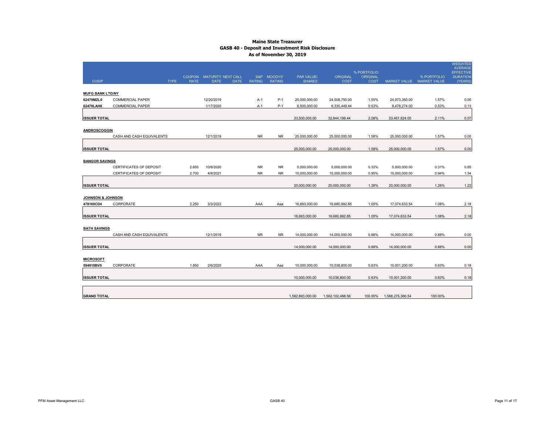## **Maine State Treasurer GASB 40 - Deposit and Investment Risk Disclosure As of November 30, 2019**

|                              |                                |               |                            |               |                |                   |                  |                                |                  |                           | <b>WEIGHTED</b><br><b>AVERAGE</b>   |
|------------------------------|--------------------------------|---------------|----------------------------|---------------|----------------|-------------------|------------------|--------------------------------|------------------|---------------------------|-------------------------------------|
|                              |                                | <b>COUPON</b> | MATURITY NEXT CALL         | S&P           | <b>MOODYS'</b> | <b>PAR VALUE/</b> | <b>ORIGINAL</b>  | % PORTFOLIO<br><b>ORIGINAL</b> |                  | % PORTFOLIO               | <b>EFFECTIVE</b><br><b>DURATION</b> |
| <b>CUSIP</b>                 | <b>TYPE</b>                    | <b>RATE</b>   | <b>DATE</b><br><b>DATE</b> | <b>RATING</b> | <b>RATING</b>  | <b>SHARES</b>     | <b>COST</b>      | COST                           |                  | MARKET VALUE MARKET VALUE | (YEARS)                             |
| <b>MUFG BANK LTD/NY</b>      |                                |               |                            |               |                |                   |                  |                                |                  |                           |                                     |
| 62479MZL0                    | <b>COMMERCIAL PAPER</b>        |               | 12/20/2019                 | A-1           | $P-1$          | 25,000,000.00     | 24,508,750.00    | 1.55%                          | 24,973,350.00    | 1.57%                     | 0.05                                |
| 62479LAH8                    | <b>COMMERCIAL PAPER</b>        |               | 1/17/2020                  | A-1           | $P-1$          | 8,500,000.00      | 8,335,449.44     | 0.53%                          | 8,478,274.00     | 0.53%                     | 0.13                                |
|                              |                                |               |                            |               |                |                   |                  |                                |                  |                           |                                     |
| <b>ISSUER TOTAL</b>          |                                |               |                            |               |                | 33,500,000.00     | 32,844,199.44    | 2.08%                          | 33,451,624.00    | 2.11%                     | 0.07                                |
|                              |                                |               |                            |               |                |                   |                  |                                |                  |                           |                                     |
| <b>ANDROSCOGGIN</b>          | CASH AND CASH EQUIVALENTS      |               | 12/1/2019                  | <b>NR</b>     | <b>NR</b>      | 25,000,000.00     |                  | 1.58%                          | 25,000,000.00    | 1.57%                     | 0.00                                |
|                              |                                |               |                            |               |                |                   | 25,000,000.00    |                                |                  |                           |                                     |
| <b>ISSUER TOTAL</b>          |                                |               |                            |               |                | 25,000,000.00     | 25,000,000.00    | 1.58%                          | 25,000,000.00    | 1.57%                     | 0.00                                |
|                              |                                |               |                            |               |                |                   |                  |                                |                  |                           |                                     |
| <b>BANGOR SAVINGS</b>        |                                |               |                            |               |                |                   |                  |                                |                  |                           |                                     |
|                              | <b>CERTIFICATES OF DEPOSIT</b> | 2.650         | 10/8/2020                  | <b>NR</b>     | <b>NR</b>      | 5,000,000.00      | 5,000,000.00     | 0.32%                          | 5,000,000.00     | 0.31%                     | 0.85                                |
|                              | CERTIFICATES OF DEPOSIT        | 2.700         | 4/8/2021                   | <b>NR</b>     | <b>NR</b>      | 15,000,000.00     | 15,000,000.00    | 0.95%                          | 15,000,000.00    | 0.94%                     | 1.34                                |
|                              |                                |               |                            |               |                |                   |                  |                                |                  |                           |                                     |
| <b>ISSUER TOTAL</b>          |                                |               |                            |               |                | 20,000,000.00     | 20,000,000.00    | 1.26%                          | 20,000,000.00    | 1.26%                     | 1.22                                |
| <b>JOHNSON &amp; JOHNSON</b> |                                |               |                            |               |                |                   |                  |                                |                  |                           |                                     |
| 478160CD4                    | CORPORATE                      | 2.250         | 3/3/2022                   | AAA           | Aaa            | 16,893,000.00     | 16,680,992.85    | 1.05%                          | 17,074,633.54    | 1.08%                     | 2.18                                |
|                              |                                |               |                            |               |                |                   |                  |                                |                  |                           |                                     |
| <b>ISSUER TOTAL</b>          |                                |               |                            |               |                | 16,893,000.00     | 16,680,992.85    | 1.05%                          | 17,074,633.54    | 1.08%                     | 2.18                                |
|                              |                                |               |                            |               |                |                   |                  |                                |                  |                           |                                     |
| <b>BATH SAVINGS</b>          |                                |               |                            |               |                |                   |                  |                                |                  |                           |                                     |
|                              | CASH AND CASH EQUIVALENTS      |               | 12/1/2019                  | <b>NR</b>     | <b>NR</b>      | 14,000,000.00     | 14,000,000.00    | 0.88%                          | 14,000,000.00    | 0.88%                     | 0.00                                |
| <b>ISSUER TOTAL</b>          |                                |               |                            |               |                | 14,000,000.00     | 14,000,000.00    | 0.88%                          | 14,000,000.00    | 0.88%                     | 0.00                                |
|                              |                                |               |                            |               |                |                   |                  |                                |                  |                           |                                     |
| <b>MICROSOFT</b>             |                                |               |                            |               |                |                   |                  |                                |                  |                           |                                     |
| 594918BV5                    | CORPORATE                      | 1.850         | 2/6/2020                   | AAA           | Aaa            | 10,000,000.00     | 10,038,800.00    | 0.63%                          | 10,001,200.00    | 0.63%                     | 0.18                                |
|                              |                                |               |                            |               |                |                   |                  |                                |                  |                           |                                     |
| <b>ISSUER TOTAL</b>          |                                |               |                            |               |                | 10,000,000.00     | 10,038,800.00    | 0.63%                          | 10,001,200.00    | 0.63%                     | 0.18                                |
|                              |                                |               |                            |               |                |                   |                  |                                |                  |                           |                                     |
| <b>GRAND TOTAL</b>           |                                |               |                            |               |                | 1,582,893,000.00  | 1,582,102,498.56 | 100.00%                        | 1,588,275,366.54 | 100.00%                   |                                     |
|                              |                                |               |                            |               |                |                   |                  |                                |                  |                           |                                     |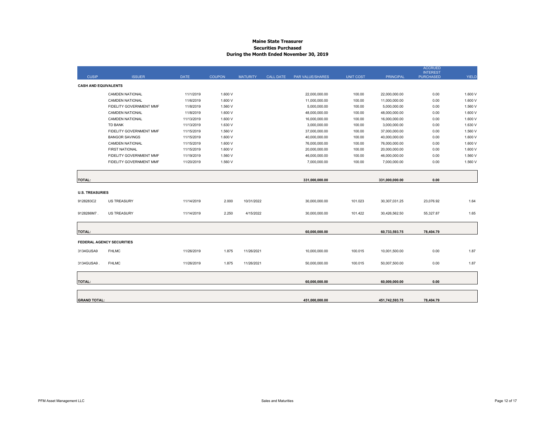#### **Maine State Treasurer Securities Purchased During the Month Ended November 30, 2019**

|                             |                                  |             |               |                 |                  |                  |                  |                  | <b>ACCRUED</b><br><b>INTEREST</b> |              |
|-----------------------------|----------------------------------|-------------|---------------|-----------------|------------------|------------------|------------------|------------------|-----------------------------------|--------------|
| <b>CUSIP</b>                | <b>ISSUER</b>                    | <b>DATE</b> | <b>COUPON</b> | <b>MATURITY</b> | <b>CALL DATE</b> | PAR VALUE/SHARES | <b>UNIT COST</b> | <b>PRINCIPAL</b> | <b>PURCHASED</b>                  | <b>YIELD</b> |
| <b>CASH AND EQUIVALENTS</b> |                                  |             |               |                 |                  |                  |                  |                  |                                   |              |
|                             | <b>CAMDEN NATIONAL</b>           | 11/1/2019   | 1.600 V       |                 |                  | 22,000,000.00    | 100.00           | 22,000,000.00    | 0.00                              | 1.600 V      |
|                             | CAMDEN NATIONAL                  | 11/6/2019   | 1.600 V       |                 |                  | 11,000,000.00    | 100.00           | 11,000,000.00    | 0.00                              | 1.600 V      |
|                             | FIDELITY GOVERNMENT MMF          | 11/8/2019   | 1.560 V       |                 |                  | 5,000,000.00     | 100.00           | 5,000,000.00     | 0.00                              | 1.560 V      |
|                             | CAMDEN NATIONAL                  | 11/8/2019   | 1.600 V       |                 |                  | 48,000,000.00    | 100.00           | 48,000,000.00    | 0.00                              | 1.600 V      |
|                             | <b>CAMDEN NATIONAL</b>           | 11/13/2019  | 1.600 V       |                 |                  | 16,000,000.00    | 100.00           | 16,000,000.00    | 0.00                              | 1.600 V      |
|                             | <b>TD BANK</b>                   | 11/13/2019  | 1.630 V       |                 |                  | 3,000,000.00     | 100.00           | 3,000,000.00     | 0.00                              | 1.630 V      |
|                             | FIDELITY GOVERNMENT MMF          | 11/15/2019  | 1.560 V       |                 |                  | 37,000,000.00    | 100.00           | 37,000,000.00    | 0.00                              | 1.560 V      |
|                             | <b>BANGOR SAVINGS</b>            | 11/15/2019  | 1.600 V       |                 |                  | 40,000,000.00    | 100.00           | 40,000,000.00    | 0.00                              | 1.600 V      |
|                             | <b>CAMDEN NATIONAL</b>           | 11/15/2019  | 1.600 V       |                 |                  | 76,000,000.00    | 100.00           | 76,000,000.00    | 0.00                              | 1.600 V      |
|                             | <b>FIRST NATIONAL</b>            | 11/15/2019  | 1.600 V       |                 |                  | 20,000,000.00    | 100.00           | 20,000,000.00    | 0.00                              | 1.600 V      |
|                             | FIDELITY GOVERNMENT MMF          | 11/19/2019  | 1.560 V       |                 |                  | 46,000,000.00    | 100.00           | 46,000,000.00    | 0.00                              | 1.560 V      |
|                             | FIDELITY GOVERNMENT MMF          | 11/20/2019  | 1.560 V       |                 |                  | 7,000,000.00     | 100.00           | 7,000,000.00     | 0.00                              | 1.560 V      |
|                             |                                  |             |               |                 |                  |                  |                  |                  |                                   |              |
|                             |                                  |             |               |                 |                  |                  |                  |                  |                                   |              |
| <b>TOTAL:</b>               |                                  |             |               |                 |                  | 331,000,000.00   |                  | 331,000,000.00   | 0.00                              |              |
|                             |                                  |             |               |                 |                  |                  |                  |                  |                                   |              |
| <b>U.S. TREASURIES</b>      |                                  |             |               |                 |                  |                  |                  |                  |                                   |              |
| 9128283C2                   | <b>US TREASURY</b>               | 11/14/2019  | 2.000         | 10/31/2022      |                  | 30,000,000.00    | 101.023          | 30,307,031.25    | 23,076.92                         | 1.64         |
|                             |                                  |             |               |                 |                  |                  |                  |                  |                                   |              |
| 9128286M7.                  | <b>US TREASURY</b>               | 11/14/2019  | 2.250         | 4/15/2022       |                  | 30,000,000.00    | 101.422          | 30,426,562.50    | 55,327.87                         | 1.65         |
|                             |                                  |             |               |                 |                  |                  |                  |                  |                                   |              |
|                             |                                  |             |               |                 |                  |                  |                  |                  |                                   |              |
| <b>TOTAL:</b>               |                                  |             |               |                 |                  | 60,000,000.00    |                  | 60,733,593.75    | 78,404.79                         |              |
|                             |                                  |             |               |                 |                  |                  |                  |                  |                                   |              |
|                             | <b>FEDERAL AGENCY SECURITIES</b> |             |               |                 |                  |                  |                  |                  |                                   |              |
| 3134GUSA9                   | <b>FHLMC</b>                     | 11/26/2019  | 1.875         | 11/26/2021      |                  | 10,000,000.00    | 100.015          | 10,001,500.00    | 0.00                              | 1.87         |
|                             |                                  |             |               |                 |                  |                  |                  |                  |                                   |              |
| 3134GUSA9                   | <b>FHLMC</b>                     | 11/26/2019  | 1.875         | 11/26/2021      |                  | 50,000,000.00    | 100.015          | 50,007,500.00    | 0.00                              | 1.87         |
|                             |                                  |             |               |                 |                  |                  |                  |                  |                                   |              |
|                             |                                  |             |               |                 |                  |                  |                  |                  |                                   |              |
| <b>TOTAL:</b>               |                                  |             |               |                 |                  | 60,000,000.00    |                  | 60,009,000.00    | 0.00                              |              |
|                             |                                  |             |               |                 |                  |                  |                  |                  |                                   |              |
|                             |                                  |             |               |                 |                  |                  |                  |                  |                                   |              |
| <b>GRAND TOTAL:</b>         |                                  |             |               |                 |                  | 451.000.000.00   |                  | 451,742,593.75   | 78,404.79                         |              |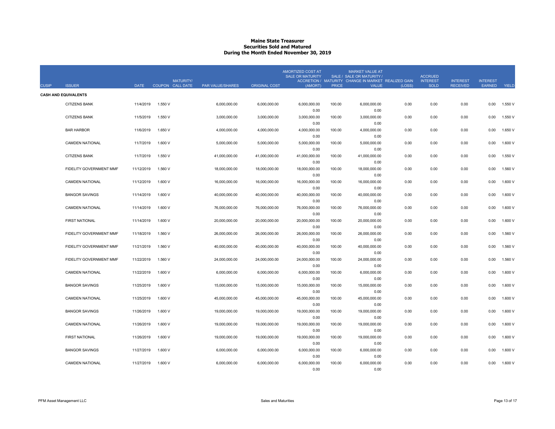#### **Maine State Treasurer Securities Sold and MaturedDuring the Month Ended November 30, 2019**

| <b>CUSIP</b> | <b>ISSUER</b>               | <b>DATE</b> | <b>MATURITY/</b><br>COUPON CALL DATE | <b>PAR VALUE/SHARES</b> | <b>ORIGINAL COST</b> | AMORTIZED COST AT<br><b>SALE OR MATURITY</b><br>(AMORT) | <b>PRICE</b> | <b>MARKET VALUE AT</b><br>SALE / SALE OR MATURITY /<br>ACCRETION / MATURITY CHANGE IN MARKET REALIZED GAIN<br><b>VALUE</b> | (LOSS) | <b>ACCRUED</b><br><b>INTEREST</b><br><b>SOLD</b> | <b>INTEREST</b><br><b>RECEIVED</b> | <b>INTEREST</b><br><b>EARNED</b> | YIELD   |
|--------------|-----------------------------|-------------|--------------------------------------|-------------------------|----------------------|---------------------------------------------------------|--------------|----------------------------------------------------------------------------------------------------------------------------|--------|--------------------------------------------------|------------------------------------|----------------------------------|---------|
|              | <b>CASH AND EQUIVALENTS</b> |             |                                      |                         |                      |                                                         |              |                                                                                                                            |        |                                                  |                                    |                                  |         |
|              | <b>CITIZENS BANK</b>        | 11/4/2019   | 1.550 V                              | 6,000,000.00            | 6,000,000.00         | 6,000,000.00                                            | 100.00       | 6,000,000.00                                                                                                               | 0.00   | 0.00                                             | 0.00                               | 0.00                             | 1.550 V |
|              |                             |             |                                      |                         |                      | 0.00                                                    |              | 0.00                                                                                                                       |        |                                                  |                                    |                                  |         |
|              | <b>CITIZENS BANK</b>        | 11/5/2019   | 1.550 V                              | 3,000,000.00            | 3,000,000.00         | 3,000,000.00                                            | 100.00       | 3,000,000.00                                                                                                               | 0.00   | 0.00                                             | 0.00                               | 0.00                             | 1.550 V |
|              |                             |             |                                      |                         |                      | 0.00                                                    |              | 0.00                                                                                                                       |        |                                                  |                                    |                                  |         |
|              | <b>BAR HARBOR</b>           | 11/6/2019   | 1.650 V                              | 4,000,000.00            | 4,000,000.00         | 4,000,000.00                                            | 100.00       | 4,000,000.00<br>0.00                                                                                                       | 0.00   | 0.00                                             | 0.00                               | 0.00                             | 1.650 V |
|              | <b>CAMDEN NATIONAL</b>      | 11/7/2019   | 1.600 V                              | 5,000,000.00            | 5,000,000.00         | 0.00<br>5,000,000.00                                    | 100.00       | 5,000,000.00                                                                                                               | 0.00   | 0.00                                             | 0.00                               | 0.00                             | 1.600 V |
|              |                             |             |                                      |                         |                      | 0.00                                                    |              | 0.00                                                                                                                       |        |                                                  |                                    |                                  |         |
|              | <b>CITIZENS BANK</b>        | 11/7/2019   | 1.550 V                              | 41,000,000.00           | 41,000,000.00        | 41,000,000.00                                           | 100.00       | 41,000,000.00                                                                                                              | 0.00   | 0.00                                             | 0.00                               | 0.00                             | 1.550 V |
|              |                             |             |                                      |                         |                      | 0.00                                                    |              | 0.00                                                                                                                       |        |                                                  |                                    |                                  |         |
|              | FIDELITY GOVERNMENT MMF     | 11/12/2019  | 1.560 V                              | 18,000,000.00           | 18,000,000.00        | 18,000,000.00                                           | 100.00       | 18,000,000.00                                                                                                              | 0.00   | 0.00                                             | 0.00                               | 0.00                             | 1.560 V |
|              |                             |             |                                      |                         |                      | 0.00                                                    |              | 0.00                                                                                                                       |        |                                                  |                                    |                                  |         |
|              | <b>CAMDEN NATIONAL</b>      | 11/12/2019  | 1.600 V                              | 16,000,000.00           | 16,000,000.00        | 16,000,000.00                                           | 100.00       | 16,000,000.00                                                                                                              | 0.00   | 0.00                                             | 0.00                               | 0.00                             | 1.600 V |
|              | <b>BANGOR SAVINGS</b>       | 11/14/2019  | 1.600 V                              | 40,000,000.00           | 40,000,000.00        | 0.00<br>40,000,000.00                                   | 100.00       | 0.00<br>40,000,000.00                                                                                                      | 0.00   | 0.00                                             | 0.00                               | 0.00                             | 1.600 V |
|              |                             |             |                                      |                         |                      | 0.00                                                    |              | 0.00                                                                                                                       |        |                                                  |                                    |                                  |         |
|              | <b>CAMDEN NATIONAL</b>      | 11/14/2019  | 1.600 V                              | 76,000,000.00           | 76,000,000.00        | 76,000,000.00                                           | 100.00       | 76,000,000.00                                                                                                              | 0.00   | 0.00                                             | 0.00                               | 0.00                             | 1.600 V |
|              |                             |             |                                      |                         |                      | 0.00                                                    |              | 0.00                                                                                                                       |        |                                                  |                                    |                                  |         |
|              | FIRST NATIONAL              | 11/14/2019  | 1.600 V                              | 20,000,000.00           | 20,000,000.00        | 20,000,000.00                                           | 100.00       | 20,000,000.00                                                                                                              | 0.00   | 0.00                                             | 0.00                               | 0.00                             | 1.600 V |
|              |                             |             |                                      |                         |                      | 0.00                                                    |              | 0.00                                                                                                                       |        |                                                  |                                    |                                  |         |
|              | FIDELITY GOVERNMENT MMF     | 11/18/2019  | 1.560 V                              | 26,000,000.00           | 26,000,000.00        | 26,000,000.00                                           | 100.00       | 26,000,000.00                                                                                                              | 0.00   | 0.00                                             | 0.00                               | 0.00                             | 1.560 V |
|              |                             |             |                                      |                         |                      | 0.00                                                    |              | 0.00                                                                                                                       |        |                                                  |                                    |                                  |         |
|              | FIDELITY GOVERNMENT MMF     | 11/21/2019  | 1.560 V                              | 40,000,000.00           | 40,000,000.00        | 40,000,000.00<br>0.00                                   | 100.00       | 40,000,000.00<br>0.00                                                                                                      | 0.00   | 0.00                                             | 0.00                               | 0.00                             | 1.560 V |
|              | FIDELITY GOVERNMENT MMF     | 11/22/2019  | 1.560 V                              | 24,000,000.00           | 24,000,000.00        | 24,000,000.00                                           | 100.00       | 24,000,000.00                                                                                                              | 0.00   | 0.00                                             | 0.00                               | 0.00                             | 1.560 V |
|              |                             |             |                                      |                         |                      | 0.00                                                    |              | 0.00                                                                                                                       |        |                                                  |                                    |                                  |         |
|              | <b>CAMDEN NATIONAL</b>      | 11/22/2019  | 1.600 V                              | 6,000,000.00            | 6,000,000.00         | 6,000,000.00                                            | 100.00       | 6,000,000.00                                                                                                               | 0.00   | 0.00                                             | 0.00                               | 0.00                             | 1.600 V |
|              |                             |             |                                      |                         |                      | 0.00                                                    |              | 0.00                                                                                                                       |        |                                                  |                                    |                                  |         |
|              | <b>BANGOR SAVINGS</b>       | 11/25/2019  | 1.600 V                              | 15,000,000.00           | 15,000,000.00        | 15,000,000.00                                           | 100.00       | 15,000,000.00                                                                                                              | 0.00   | 0.00                                             | 0.00                               | 0.00                             | 1.600 V |
|              |                             |             |                                      |                         |                      | 0.00                                                    |              | 0.00                                                                                                                       |        |                                                  |                                    |                                  |         |
|              | <b>CAMDEN NATIONAL</b>      | 11/25/2019  | 1.600 V                              | 45,000,000.00           | 45,000,000.00        | 45,000,000.00                                           | 100.00       | 45,000,000.00                                                                                                              | 0.00   | 0.00                                             | 0.00                               | 0.00                             | 1.600 V |
|              |                             |             |                                      |                         |                      | 0.00                                                    |              | 0.00                                                                                                                       |        |                                                  |                                    |                                  |         |
|              | <b>BANGOR SAVINGS</b>       | 11/26/2019  | 1.600 V                              | 19,000,000.00           | 19,000,000.00        | 19,000,000.00<br>0.00                                   | 100.00       | 19,000,000.00                                                                                                              | 0.00   | 0.00                                             | 0.00                               | 0.00                             | 1.600 V |
|              | <b>CAMDEN NATIONAL</b>      | 11/26/2019  | 1.600 V                              | 19,000,000.00           | 19,000,000.00        | 19,000,000.00                                           | 100.00       | 0.00<br>19,000,000.00                                                                                                      | 0.00   | 0.00                                             | 0.00                               | 0.00                             | 1.600 V |
|              |                             |             |                                      |                         |                      | 0.00                                                    |              | 0.00                                                                                                                       |        |                                                  |                                    |                                  |         |
|              | FIRST NATIONAL              | 11/26/2019  | 1.600 V                              | 19,000,000.00           | 19,000,000.00        | 19,000,000.00                                           | 100.00       | 19,000,000.00                                                                                                              | 0.00   | 0.00                                             | 0.00                               | 0.00                             | 1.600 V |
|              |                             |             |                                      |                         |                      | 0.00                                                    |              | 0.00                                                                                                                       |        |                                                  |                                    |                                  |         |
|              | <b>BANGOR SAVINGS</b>       | 11/27/2019  | 1.600 V                              | 6,000,000.00            | 6,000,000.00         | 6,000,000.00                                            | 100.00       | 6,000,000.00                                                                                                               | 0.00   | 0.00                                             | 0.00                               | 0.00                             | 1.600 V |
|              |                             |             |                                      |                         |                      | 0.00                                                    |              | 0.00                                                                                                                       |        |                                                  |                                    |                                  |         |
|              | <b>CAMDEN NATIONAL</b>      | 11/27/2019  | 1.600 V                              | 6.000.000.00            | 6.000.000.00         | 6.000.000.00                                            | 100.00       | 6.000.000.00                                                                                                               | 0.00   | 0.00                                             | 0.00                               | 0.00                             | 1.600 V |
|              |                             |             |                                      |                         |                      | 0.00                                                    |              | 0.00                                                                                                                       |        |                                                  |                                    |                                  |         |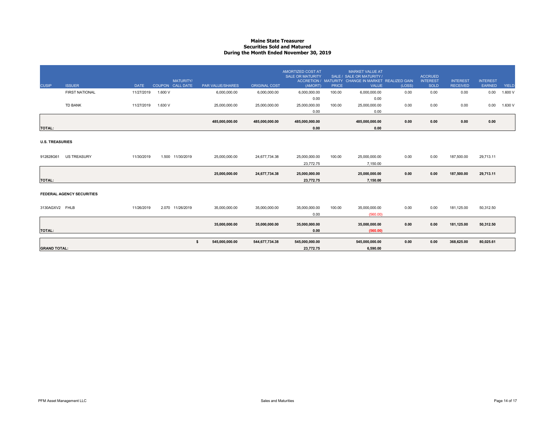#### **Maine State Treasurer Securities Sold and MaturedDuring the Month Ended November 30, 2019**

| <b>CUSIP</b>           | <b>ISSUER</b>                    | <b>DATE</b> |         | <b>MATURITY/</b><br>COUPON CALL DATE | <b>PAR VALUE/SHARES</b> | <b>ORIGINAL COST</b> | AMORTIZED COST AT<br><b>SALE OR MATURITY</b><br>(AMORT) | <b>PRICE</b> | <b>MARKET VALUE AT</b><br>SALE / SALE OR MATURITY /<br>ACCRETION / MATURITY CHANGE IN MARKET REALIZED GAIN<br><b>VALUE</b> | (LOSS) | <b>ACCRUED</b><br><b>INTEREST</b><br>SOLD | <b>INTEREST</b><br><b>RECEIVED</b> | <b>INTEREST</b><br><b>EARNED</b> | <b>YIELD</b> |
|------------------------|----------------------------------|-------------|---------|--------------------------------------|-------------------------|----------------------|---------------------------------------------------------|--------------|----------------------------------------------------------------------------------------------------------------------------|--------|-------------------------------------------|------------------------------------|----------------------------------|--------------|
|                        | <b>FIRST NATIONAL</b>            | 11/27/2019  | 1.600 V |                                      | 6,000,000.00            | 6,000,000.00         | 6,000,000.00                                            | 100.00       | 6,000,000.00                                                                                                               | 0.00   | 0.00                                      | 0.00                               | 0.00                             | 1.600 V      |
|                        | TD BANK                          | 11/27/2019  | 1.630 V |                                      | 25,000,000.00           | 25,000,000.00        | 0.00<br>25,000,000.00<br>0.00                           | 100.00       | 0.00<br>25,000,000.00<br>0.00                                                                                              | 0.00   | 0.00                                      | 0.00                               | 0.00                             | 1.630 V      |
|                        |                                  |             |         |                                      | 485,000,000.00          | 485,000,000.00       | 485,000,000.00                                          |              | 485,000,000.00                                                                                                             | 0.00   | 0.00                                      | 0.00                               | 0.00                             |              |
| <b>TOTAL:</b>          |                                  |             |         |                                      |                         |                      | 0.00                                                    |              | 0.00                                                                                                                       |        |                                           |                                    |                                  |              |
| <b>U.S. TREASURIES</b> |                                  |             |         |                                      |                         |                      |                                                         |              |                                                                                                                            |        |                                           |                                    |                                  |              |
| 912828G61              | <b>US TREASURY</b>               | 11/30/2019  |         | 1.500 11/30/2019                     | 25,000,000.00           | 24,677,734.38        | 25,000,000.00                                           | 100.00       | 25,000,000.00                                                                                                              | 0.00   | 0.00                                      | 187,500.00                         | 29,713.11                        |              |
|                        |                                  |             |         |                                      |                         |                      | 23,772.75                                               |              | 7.150.00                                                                                                                   |        |                                           |                                    |                                  |              |
|                        |                                  |             |         |                                      | 25,000,000.00           | 24,677,734.38        | 25,000,000.00                                           |              | 25,000,000.00                                                                                                              | 0.00   | 0.00                                      | 187,500.00                         | 29.713.11                        |              |
| <b>TOTAL:</b>          |                                  |             |         |                                      |                         |                      | 23,772.75                                               |              | 7,150.00                                                                                                                   |        |                                           |                                    |                                  |              |
|                        | <b>FEDERAL AGENCY SECURITIES</b> |             |         |                                      |                         |                      |                                                         |              |                                                                                                                            |        |                                           |                                    |                                  |              |
| 3130AGXV2 FHLB         |                                  | 11/26/2019  |         | 2.070 11/26/2019                     | 35,000,000.00           | 35,000,000.00        | 35,000,000.00<br>0.00                                   | 100.00       | 35,000,000.00<br>(560.00)                                                                                                  | 0.00   | 0.00                                      | 181,125.00                         | 50,312.50                        |              |
| <b>TOTAL:</b>          |                                  |             |         |                                      | 35,000,000.00           | 35,000,000.00        | 35,000,000.00<br>0.00                                   |              | 35,000,000.00<br>(560.00)                                                                                                  | 0.00   | 0.00                                      | 181,125.00                         | 50,312.50                        |              |
|                        |                                  |             |         | s.                                   | 545,000,000.00          | 544,677,734.38       | 545,000,000.00                                          |              | 545,000,000.00                                                                                                             | 0.00   | 0.00                                      | 368,625.00                         | 80,025.61                        |              |
| <b>GRAND TOTAL:</b>    |                                  |             |         |                                      |                         |                      | 23,772.75                                               |              | 6.590.00                                                                                                                   |        |                                           |                                    |                                  |              |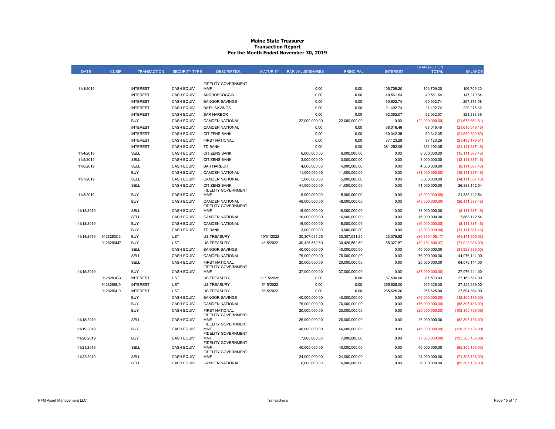#### **Maine State Treasurer Transaction Report For the Month Ended November 30, 2019**

|             |              |                    |                      |                                                          |                 |                         |                  |                 | TRANSACTION       |                    |
|-------------|--------------|--------------------|----------------------|----------------------------------------------------------|-----------------|-------------------------|------------------|-----------------|-------------------|--------------------|
| <b>DATE</b> | <b>CUSIP</b> | <b>TRANSACTION</b> | <b>SECURITY TYPE</b> | <b>DESCRIPTION</b>                                       | <b>MATURITY</b> | <b>PAR VALUE/SHARES</b> | <b>PRINCIPAL</b> | <b>INTEREST</b> | <b>TOTAL</b>      | <b>BALANCE</b>     |
|             |              |                    |                      |                                                          |                 |                         |                  |                 |                   |                    |
| 11/1/2019   |              | <b>INTEREST</b>    | <b>CASH EQUIV</b>    | FIDELITY GOVERNMENT<br><b>MMF</b>                        |                 | 0.00                    | 0.00             | 106,709.20      | 106,709.20        | 106,709.20         |
|             |              | <b>INTEREST</b>    | <b>CASH EQUIV</b>    | ANDROSCOGGIN                                             |                 | 0.00                    | 0.00             | 40,561.64       | 40,561.64         | 147,270.84         |
|             |              | <b>INTEREST</b>    | <b>CASH EQUIV</b>    | <b>BANGOR SAVINGS</b>                                    |                 | 0.00                    | 0.00             | 60,602.74       | 60,602.74         | 207,873.58         |
|             |              | <b>INTEREST</b>    | <b>CASH EQUIV</b>    | <b>BATH SAVINGS</b>                                      |                 | 0.00                    | 0.00             | 21,402.74       | 21,402.74         | 229,276.32         |
|             |              | <b>INTEREST</b>    | <b>CASH EQUIV</b>    | <b>BAR HARBOR</b>                                        |                 | 0.00                    | 0.00             | 92,062.07       | 92,062.07         | 321,338.39         |
|             |              | <b>BUY</b>         | <b>CASH EQUIV</b>    | <b>CAMDEN NATIONAL</b>                                   |                 | 22,000,000.00           | 22,000,000.00    | 0.00            | (22,000,000.00)   | (21, 678, 661.61)  |
|             |              | <b>INTEREST</b>    | <b>CASH EQUIV</b>    | <b>CAMDEN NATIONAL</b>                                   |                 | 0.00                    | 0.00             | 68,016.46       | 68,016.46         | (21,610,645.15)    |
|             |              | <b>INTEREST</b>    | <b>CASH EQUIV</b>    | <b>CITIZENS BANK</b>                                     |                 | 0.00                    | 0.00             | 80,342.35       | 80,342.35         | (21, 530, 302.80)  |
|             |              | <b>INTEREST</b>    | <b>CASH EQUIV</b>    | <b>FIRST NATIONAL</b>                                    |                 | 0.00                    | 0.00             | 37,123.29       | 37,123.29         | (21, 493, 179.51)  |
|             |              | <b>INTEREST</b>    | <b>CASH EQUIV</b>    | TD BANK                                                  |                 | 0.00                    | 0.00             | 381,292.05      | 381,292.05        | (21, 111, 887.46)  |
| 11/4/2019   |              | <b>SELL</b>        | <b>CASH EQUIV</b>    | <b>CITIZENS BANK</b>                                     |                 | 6,000,000.00            | 6,000,000.00     | 0.00            | 6,000,000.00      | (15, 111, 887.46)  |
| 11/5/2019   |              | SELL               | <b>CASH EQUIV</b>    | <b>CITIZENS BANK</b>                                     |                 | 3,000,000.00            | 3,000,000.00     | 0.00            | 3,000,000.00      | (12, 111, 887.46)  |
| 11/6/2019   |              | SELL               | <b>CASH EQUIV</b>    | <b>BAR HARBOR</b>                                        |                 | 4,000,000.00            | 4,000,000.00     | 0.00            | 4,000,000.00      | (8, 111, 887.46)   |
|             |              | <b>BUY</b>         | <b>CASH EQUIV</b>    | <b>CAMDEN NATIONAL</b>                                   |                 | 11,000,000.00           | 11,000,000.00    | 0.00            | (11,000,000.00)   | (19, 111, 887.46)  |
| 11/7/2019   |              | <b>SELL</b>        | <b>CASH EQUIV</b>    | <b>CAMDEN NATIONAL</b>                                   |                 | 5,000,000.00            | 5,000,000.00     | 0.00            | 5,000,000.00      | (14, 111, 887.46)  |
|             |              | SELL               | <b>CASH EQUIV</b>    | <b>CITIZENS BANK</b>                                     |                 | 41,000,000.00           | 41,000,000.00    | 0.00            | 41,000,000.00     | 26,888,112.54      |
| 11/8/2019   |              | <b>BUY</b>         | <b>CASH EQUIV</b>    | FIDELITY GOVERNMENT<br>MMF                               |                 | 5,000,000.00            | 5,000,000.00     | 0.00            | (5,000,000.00)    | 21,888,112.54      |
|             |              | <b>BUY</b>         | <b>CASH EQUIV</b>    | <b>CAMDEN NATIONAL</b>                                   |                 | 48,000,000.00           | 48,000,000.00    | 0.00            | (48,000,000.00)   | (26, 111, 887.46)  |
| 11/12/2019  |              | SELL               | <b>CASH EQUIV</b>    | FIDELITY GOVERNMENT<br>MMF                               |                 | 18,000,000.00           | 18,000,000.00    | 0.00            | 18,000,000.00     | (8, 111, 887.46)   |
|             |              | SELL               | <b>CASH EQUIV</b>    | <b>CAMDEN NATIONAL</b>                                   |                 | 16,000,000.00           | 16,000,000.00    | 0.00            | 16,000,000.00     | 7,888,112.54       |
| 11/13/2019  |              | <b>BUY</b>         | <b>CASH EQUIV</b>    | <b>CAMDEN NATIONAL</b>                                   |                 | 16,000,000.00           | 16,000,000.00    | 0.00            | (16,000,000.00)   | (8, 111, 887.46)   |
|             |              | <b>BUY</b>         | <b>CASH EQUIV</b>    | <b>TD BANK</b>                                           |                 | 3,000,000.00            | 3,000,000.00     | 0.00            | (3,000,000.00)    | (11, 111, 887.46)  |
| 11/14/2019  | 9128283C2    | <b>BUY</b>         | <b>UST</b>           | <b>US TREASURY</b>                                       | 10/31/2022      | 30,307,031.25           | 30,307,031.25    | 23,076.92       | (30, 330, 108.17) | (41, 441, 995.63)  |
|             | 9128286M7.   | <b>BUY</b>         | <b>UST</b>           | <b>US TREASURY</b>                                       | 4/15/2022       | 30,426,562.50           | 30,426,562.50    | 55,327.87       | (30, 481, 890.37) | (71,923,886.00)    |
|             |              | SELL               | <b>CASH EQUIV</b>    | <b>BANGOR SAVINGS</b>                                    |                 | 40,000,000.00           | 40,000,000.00    | 0.00            | 40,000,000.00     | (31,923,886.00)    |
|             |              | SELL               | <b>CASH EQUIV</b>    | <b>CAMDEN NATIONAL</b>                                   |                 | 76,000,000.00           | 76,000,000.00    | 0.00            | 76,000,000.00     | 44,076,114.00      |
|             |              | SELL               | <b>CASH EQUIV</b>    | <b>FIRST NATIONAL</b><br>FIDELITY GOVERNMENT             |                 | 20,000,000.00           | 20,000,000.00    | 0.00            | 20,000,000.00     | 64,076,114.00      |
| 11/15/2019  |              | <b>BUY</b>         | <b>CASH EQUIV</b>    | <b>MMF</b>                                               |                 | 37,000,000.00           | 37,000,000.00    | 0.00            | (37,000,000.00)   | 27,076,114.00      |
|             | 9128283G3    | <b>INTEREST</b>    | <b>UST</b>           | <b>US TREASURY</b>                                       | 11/15/2020      | 0.00                    | 0.00             | 87,500.00       | 87,500.00         | 27,163,614.00      |
|             | 9128286U9    | <b>INTEREST</b>    | <b>UST</b>           | <b>US TREASURY</b>                                       | 5/15/2022       | 0.00                    | 0.00             | 265,625.00      | 265,625.00        | 27,429,239.00      |
|             | 9128286U9    | <b>INTEREST</b>    | <b>UST</b>           | <b>US TREASURY</b>                                       | 5/15/2022       | 0.00                    | 0.00             | 265,625.00      | 265,625.00        | 27,694,864.00      |
|             |              | <b>BUY</b>         | <b>CASH EQUIV</b>    | <b>BANGOR SAVINGS</b>                                    |                 | 40,000,000.00           | 40,000,000.00    | 0.00            | (40,000,000.00)   | (12,305,136.00)    |
|             |              | <b>BUY</b>         | <b>CASH EQUIV</b>    | <b>CAMDEN NATIONAL</b>                                   |                 | 76,000,000.00           | 76,000,000.00    | 0.00            | (76,000,000.00)   | (88, 305, 136.00)  |
|             |              | <b>BUY</b>         | <b>CASH EQUIV</b>    | <b>FIRST NATIONAL</b>                                    |                 | 20,000,000.00           | 20,000,000.00    | 0.00            | (20,000,000.00)   | (108, 305, 136.00) |
| 11/18/2019  |              | SELL               | <b>CASH EQUIV</b>    | FIDELITY GOVERNMENT<br><b>MMF</b><br>FIDELITY GOVERNMENT |                 | 26.000.000.00           | 26,000,000.00    | 0.00            | 26,000,000.00     | (82, 305, 136.00)  |
| 11/19/2019  |              | <b>BUY</b>         | <b>CASH EQUIV</b>    | <b>MMF</b><br>FIDELITY GOVERNMENT                        |                 | 46.000.000.00           | 46,000,000.00    | 0.00            | (46,000,000.00)   | (128, 305, 136.00) |
| 11/20/2019  |              | <b>BUY</b>         | <b>CASH EQUIV</b>    | <b>MMF</b><br>FIDELITY GOVERNMENT                        |                 | 7,000,000.00            | 7,000,000.00     | 0.00            | (7,000,000.00)    | (135, 305, 136.00) |
| 11/21/2019  |              | SELL               | <b>CASH EQUIV</b>    | <b>MMF</b><br>FIDELITY GOVERNMENT                        |                 | 40,000,000.00           | 40,000,000.00    | 0.00            | 40,000,000.00     | (95, 305, 136.00)  |
| 11/22/2019  |              | SELL               | <b>CASH EQUIV</b>    | <b>MMF</b>                                               |                 | 24,000,000.00           | 24,000,000.00    | 0.00            | 24,000,000.00     | (71, 305, 136.00)  |
|             |              | <b>SELL</b>        | <b>CASH EQUIV</b>    | CAMDEN NATIONAL                                          |                 | 6,000,000.00            | 6,000,000.00     | 0.00            | 6,000,000.00      | (65, 305, 136.00)  |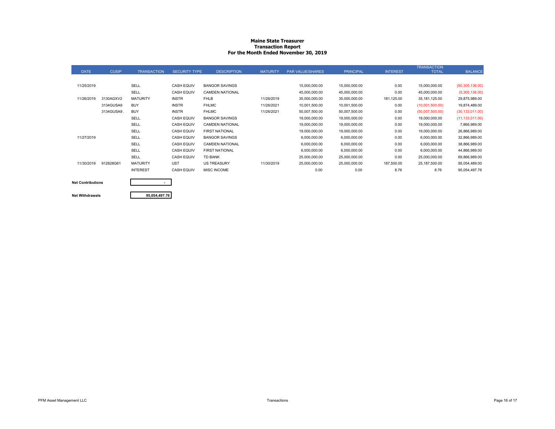#### **Maine State Treasurer Transaction Report For the Month Ended November 30, 2019**

|             |              |                    |                      |                        |                 |                  |                  |                 | <b>TRANSACTION</b> |                   |
|-------------|--------------|--------------------|----------------------|------------------------|-----------------|------------------|------------------|-----------------|--------------------|-------------------|
| <b>DATE</b> | <b>CUSIP</b> | <b>TRANSACTION</b> | <b>SECURITY TYPE</b> | <b>DESCRIPTION</b>     | <b>MATURITY</b> | PAR VALUE/SHARES | <b>PRINCIPAL</b> | <b>INTEREST</b> | <b>TOTAL</b>       | <b>BALANCE</b>    |
|             |              |                    |                      |                        |                 |                  |                  |                 |                    |                   |
| 11/25/2019  |              | SELL               | <b>CASH EQUIV</b>    | <b>BANGOR SAVINGS</b>  |                 | 15,000,000.00    | 15,000,000.00    | 0.00            | 15,000,000.00      | (50, 305, 136.00) |
|             |              | SELL               | <b>CASH EQUIV</b>    | <b>CAMDEN NATIONAL</b> |                 | 45,000,000.00    | 45,000,000.00    | 0.00            | 45,000,000.00      | (5,305,136.00)    |
| 11/26/2019  | 3130AGXV2    | <b>MATURITY</b>    | <b>INSTR</b>         | <b>FHLB</b>            | 11/26/2019      | 35,000,000.00    | 35,000,000.00    | 181,125.00      | 35, 181, 125.00    | 29,875,989.00     |
|             | 3134GUSA9    | <b>BUY</b>         | <b>INSTR</b>         | <b>FHLMC</b>           | 11/26/2021      | 10,001,500.00    | 10,001,500.00    | 0.00            | (10,001,500.00)    | 19,874,489.00     |
|             | 3134GUSA9.   | <b>BUY</b>         | <b>INSTR</b>         | <b>FHLMC</b>           | 11/26/2021      | 50,007,500.00    | 50,007,500.00    | 0.00            | (50,007,500.00)    | (30, 133, 011.00) |
|             |              | SELL               | <b>CASH EQUIV</b>    | <b>BANGOR SAVINGS</b>  |                 | 19,000,000.00    | 19,000,000.00    | 0.00            | 19,000,000.00      | (11, 133, 011.00) |
|             |              | SELL               | <b>CASH EQUIV</b>    | <b>CAMDEN NATIONAL</b> |                 | 19,000,000.00    | 19,000,000.00    | 0.00            | 19,000,000.00      | 7,866,989.00      |
|             |              | SELL               | <b>CASH EQUIV</b>    | <b>FIRST NATIONAL</b>  |                 | 19,000,000.00    | 19,000,000.00    | 0.00            | 19,000,000.00      | 26,866,989.00     |
| 11/27/2019  |              | SELL               | <b>CASH EQUIV</b>    | <b>BANGOR SAVINGS</b>  |                 | 6,000,000.00     | 6,000,000.00     | 0.00            | 6,000,000.00       | 32,866,989.00     |
|             |              | SELL               | <b>CASH EQUIV</b>    | <b>CAMDEN NATIONAL</b> |                 | 6,000,000.00     | 6,000,000.00     | 0.00            | 6,000,000.00       | 38,866,989.00     |
|             |              | SELL               | <b>CASH EQUIV</b>    | <b>FIRST NATIONAL</b>  |                 | 6,000,000.00     | 6,000,000.00     | 0.00            | 6,000,000.00       | 44,866,989.00     |
|             |              | SELL               | <b>CASH EQUIV</b>    | <b>TD BANK</b>         |                 | 25,000,000.00    | 25,000,000.00    | 0.00            | 25,000,000.00      | 69,866,989.00     |
| 11/30/2019  | 912828G61    | <b>MATURITY</b>    | <b>UST</b>           | <b>US TREASURY</b>     | 11/30/2019      | 25,000,000.00    | 25,000,000.00    | 187,500.00      | 25,187,500.00      | 95,054,489.00     |
|             |              | <b>INTEREST</b>    | <b>CASH EQUIV</b>    | <b>MISC INCOME</b>     |                 | 0.00             | 0.00             | 8.76            | 8.76               | 95,054,497.76     |
|             |              |                    |                      |                        |                 |                  |                  |                 |                    |                   |

| <b>Net Contributions</b> | ۰             |
|--------------------------|---------------|
|                          |               |
| <b>Net Withdrawals</b>   | 95.054.497.76 |